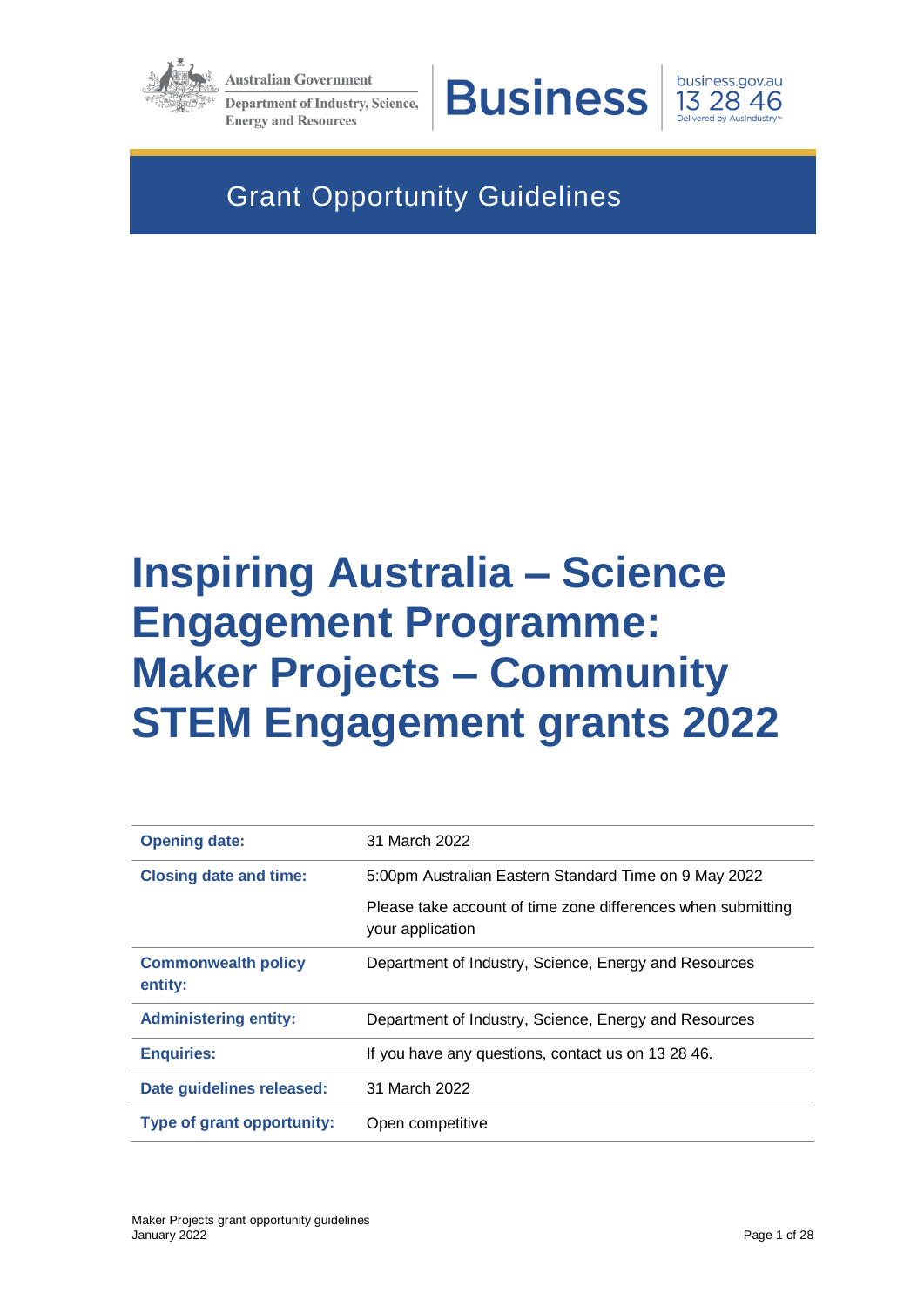

**Australian Government** 

**Department of Industry, Science, Energy and Resources** 



business.gov.au 13 28 46

# Grant Opportunity Guidelines

# **Inspiring Australia – Science Engagement Programme: Maker Projects – Community STEM Engagement grants 2022**

| <b>Opening date:</b>                  | 31 March 2022                                                                    |
|---------------------------------------|----------------------------------------------------------------------------------|
| <b>Closing date and time:</b>         | 5:00pm Australian Eastern Standard Time on 9 May 2022                            |
|                                       | Please take account of time zone differences when submitting<br>your application |
| <b>Commonwealth policy</b><br>entity: | Department of Industry, Science, Energy and Resources                            |
| <b>Administering entity:</b>          | Department of Industry, Science, Energy and Resources                            |
| <b>Enquiries:</b>                     | If you have any questions, contact us on 13 28 46.                               |
| Date guidelines released:             | 31 March 2022                                                                    |
| <b>Type of grant opportunity:</b>     | Open competitive                                                                 |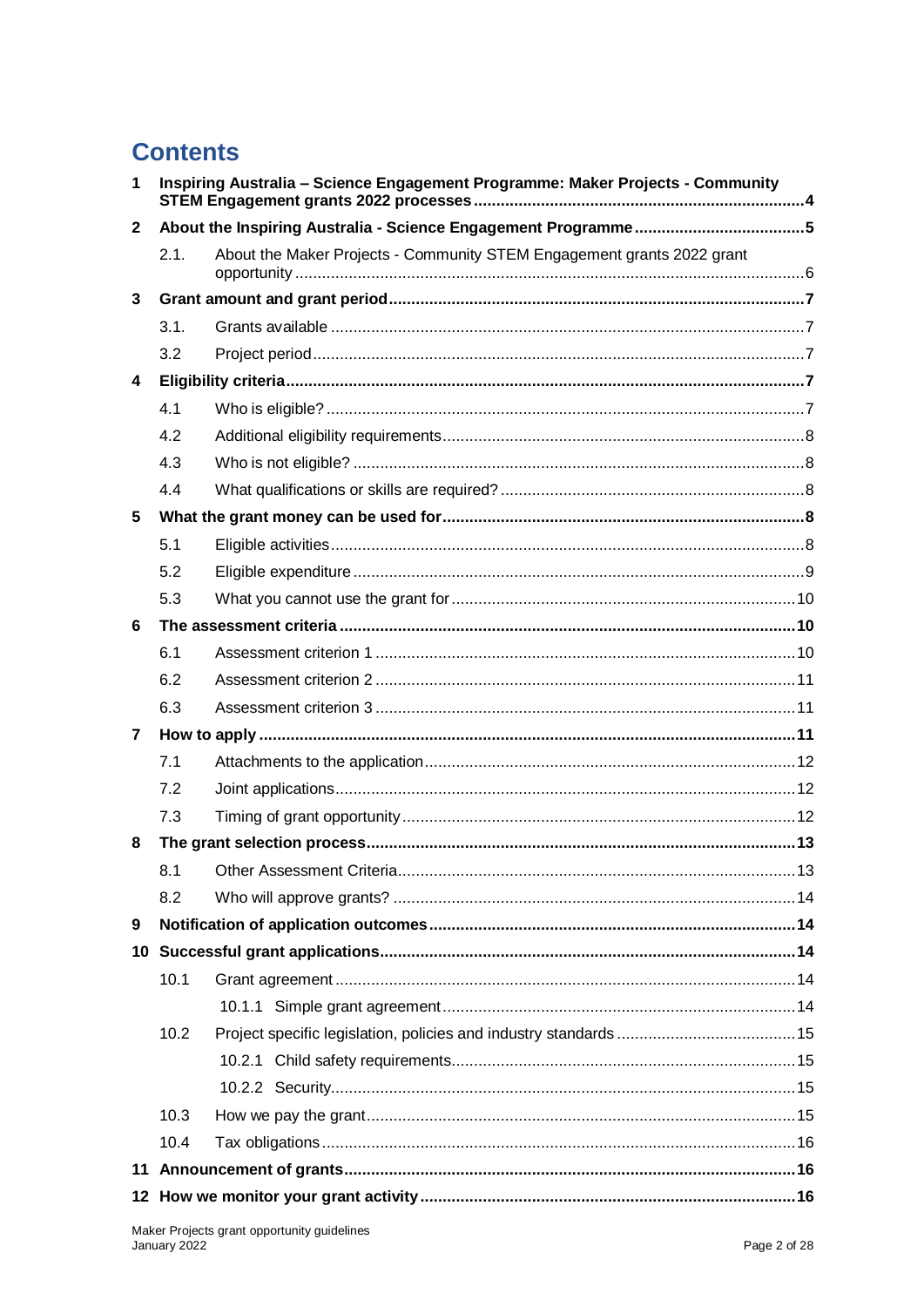# **Contents**

| $\mathbf 1$  | Inspiring Australia - Science Engagement Programme: Maker Projects - Community |                                                                        |  |
|--------------|--------------------------------------------------------------------------------|------------------------------------------------------------------------|--|
| $\mathbf{2}$ |                                                                                |                                                                        |  |
|              | 2.1.                                                                           | About the Maker Projects - Community STEM Engagement grants 2022 grant |  |
| 3            |                                                                                |                                                                        |  |
|              | 3.1.                                                                           |                                                                        |  |
|              | 3.2                                                                            |                                                                        |  |
| 4            |                                                                                |                                                                        |  |
|              | 4.1                                                                            |                                                                        |  |
|              | 4.2                                                                            |                                                                        |  |
|              | 4.3                                                                            |                                                                        |  |
|              | 4.4                                                                            |                                                                        |  |
| 5            |                                                                                |                                                                        |  |
|              | 5.1                                                                            |                                                                        |  |
|              | 5.2                                                                            |                                                                        |  |
|              | 5.3                                                                            |                                                                        |  |
| 6            |                                                                                |                                                                        |  |
|              | 6.1                                                                            |                                                                        |  |
|              | 6.2                                                                            |                                                                        |  |
|              | 6.3                                                                            |                                                                        |  |
| 7            |                                                                                |                                                                        |  |
|              | 7.1                                                                            |                                                                        |  |
|              | 7.2                                                                            |                                                                        |  |
|              | 7.3                                                                            |                                                                        |  |
| 8            |                                                                                |                                                                        |  |
|              |                                                                                |                                                                        |  |
|              | 8.2                                                                            |                                                                        |  |
| 9            |                                                                                |                                                                        |  |
|              |                                                                                |                                                                        |  |
|              | 10.1                                                                           |                                                                        |  |
|              |                                                                                |                                                                        |  |
|              | 10.2                                                                           |                                                                        |  |
|              |                                                                                |                                                                        |  |
|              |                                                                                |                                                                        |  |
|              | 10.3                                                                           |                                                                        |  |
|              | 10.4                                                                           |                                                                        |  |
|              |                                                                                |                                                                        |  |
|              |                                                                                |                                                                        |  |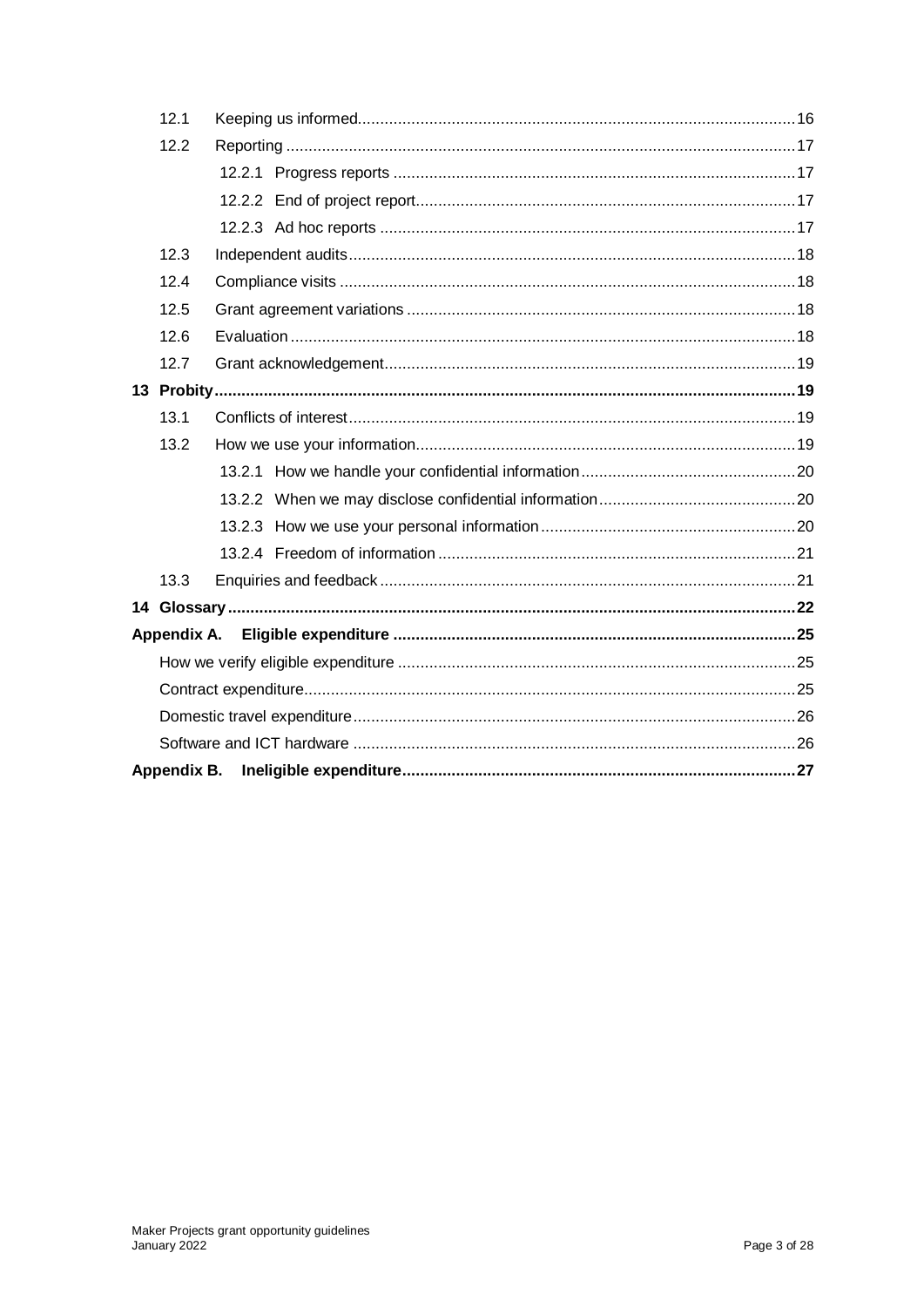| 12.1        |  |  |  |
|-------------|--|--|--|
| 12.2        |  |  |  |
|             |  |  |  |
|             |  |  |  |
|             |  |  |  |
| 12.3        |  |  |  |
| 12.4        |  |  |  |
| 12.5        |  |  |  |
| 12.6        |  |  |  |
| 12.7        |  |  |  |
|             |  |  |  |
| 13.1        |  |  |  |
| 13.2        |  |  |  |
|             |  |  |  |
|             |  |  |  |
|             |  |  |  |
|             |  |  |  |
| 13.3        |  |  |  |
|             |  |  |  |
| Appendix A. |  |  |  |
|             |  |  |  |
|             |  |  |  |
|             |  |  |  |
|             |  |  |  |
| Appendix B. |  |  |  |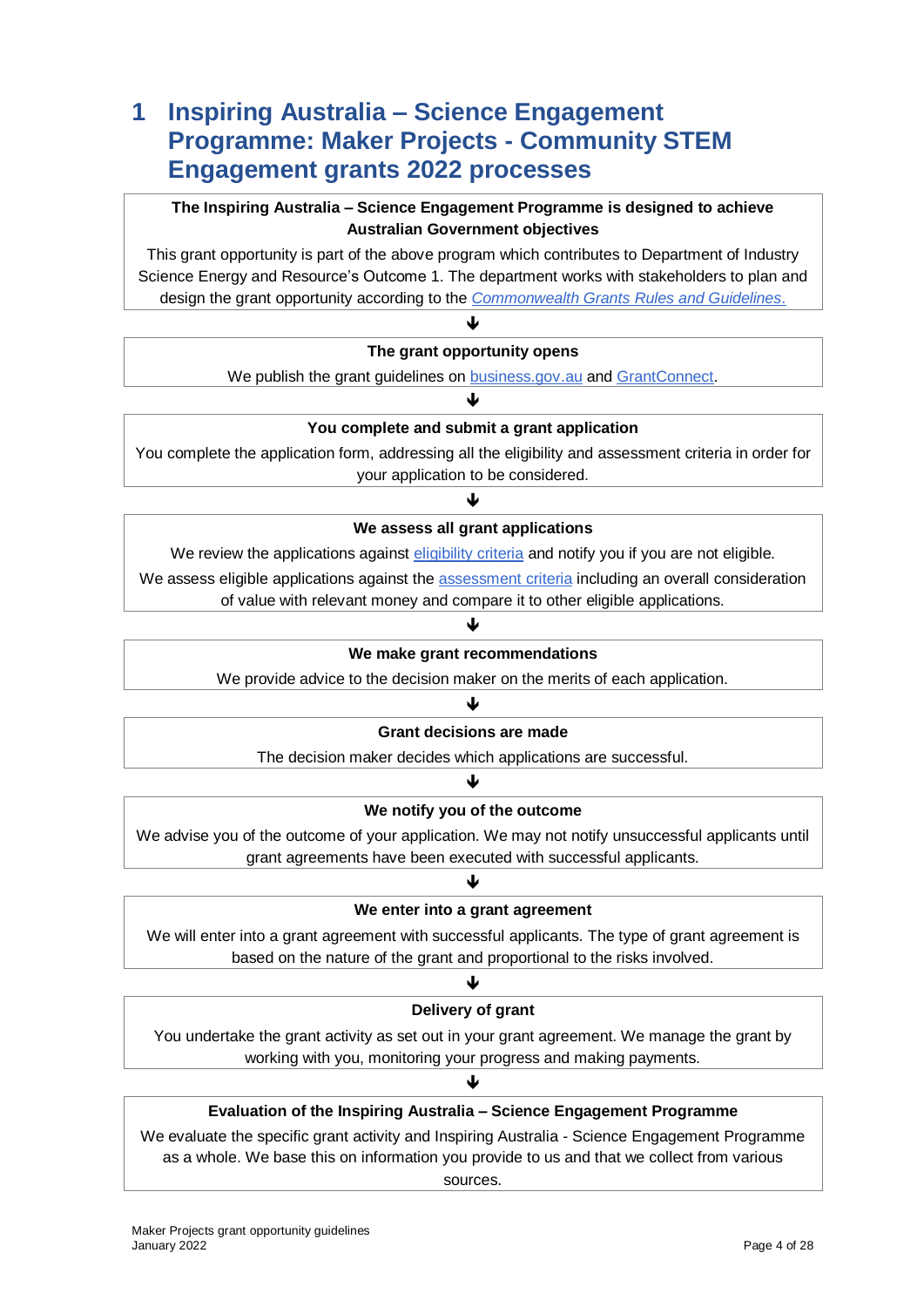## <span id="page-3-0"></span>**1 Inspiring Australia – Science Engagement Programme: Maker Projects - Community STEM Engagement grants 2022 processes**

#### **The Inspiring Australia – Science Engagement Programme is designed to achieve Australian Government objectives**

This grant opportunity is part of the above program which contributes to Department of Industry Science Energy and Resource's Outcome 1. The department works with stakeholders to plan and design the grant opportunity according to the *[Commonwealth Grants Rules and Guidelines](https://www.finance.gov.au/government/commonwealth-grants/commonwealth-grants-rules-guidelines)*.

### ♦ **The grant opportunity opens** We publish the grant guidelines on [business.gov.au](https://www.business.gov.au/) and [GrantConnect.](https://www.grants.gov.au/) ♦ **You complete and submit a grant application**

You complete the application form, addressing all the [eligibility and assessment](#page-9-1) criteria in order for your application to be considered.

### J

#### **We assess all grant applications**

We review the applications against [eligibility criteria](#page-6-3) and notify you if you are not eligible.

We assess eligible applications against the [assessment criteria](#page-9-1) including an overall consideration of value with relevant money and compare it to other eligible applications.

### J **We make grant recommendations**

We provide advice to the decision maker on the merits of each application.

#### ♦ **Grant decisions are made**

The decision maker decides which applications are successful.

#### Ψ

#### **We notify you of the outcome**

We advise you of the outcome of your application. We may not notify unsuccessful applicants until grant agreements have been executed with successful applicants.

#### ብ

#### **We enter into a grant agreement**

We will enter into a grant agreement with successful applicants. The type of [grant agreement](#page-13-3) is based on the nature of the grant and proportional to the risks involved.

# ↓

#### **Delivery of grant**

You undertake the grant activity as set out in your grant agreement. We manage the grant by working with you, monitoring your progress and making payments.

### ♦ **Evaluation of the Inspiring Australia – Science Engagement Programme**

We evaluate the specific grant activity and Inspiring Australia - Science Engagement Programme as a whole. We base this on information you provide to us and that we collect from various sources.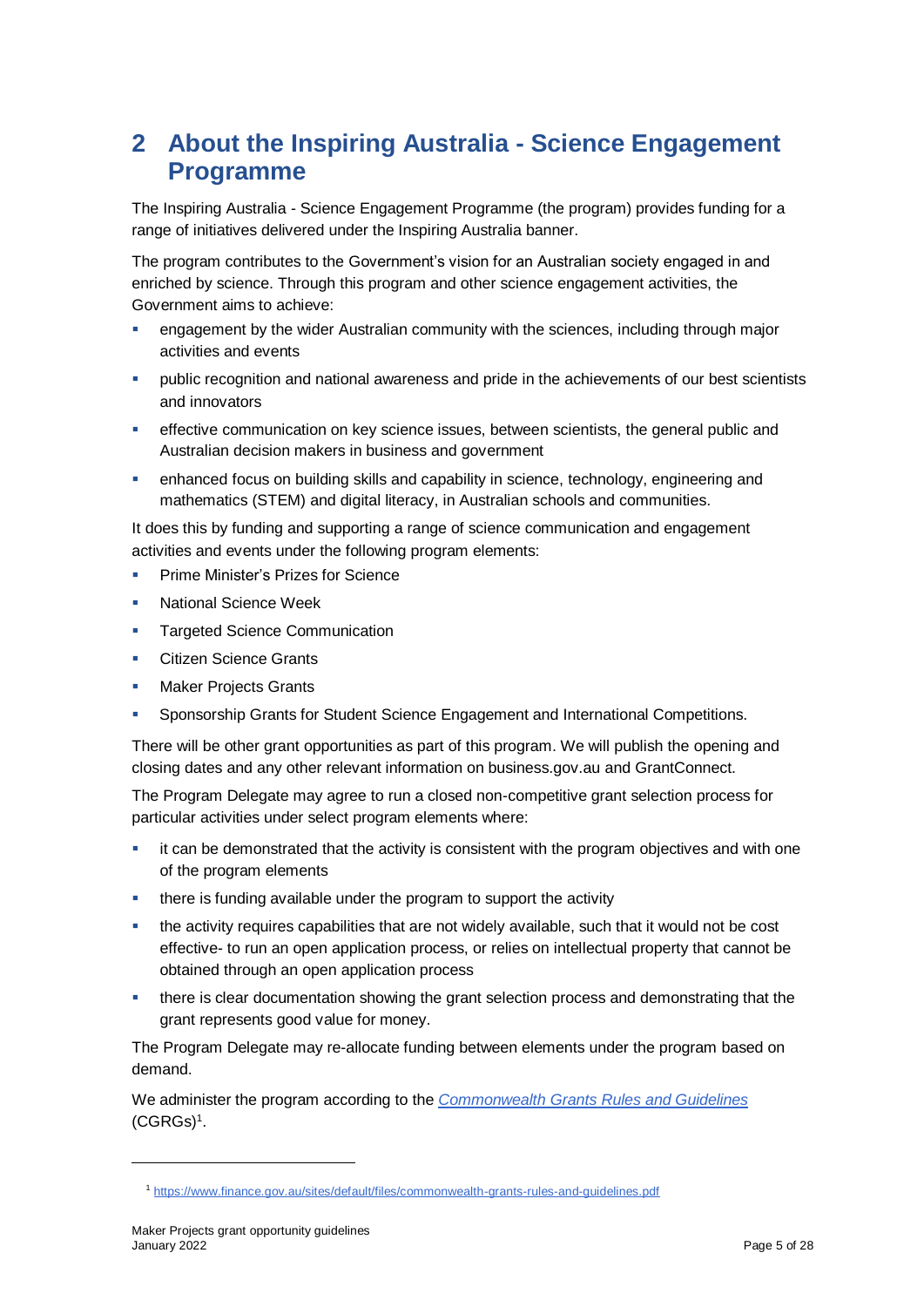# <span id="page-4-0"></span>**2 About the Inspiring Australia - Science Engagement Programme**

The Inspiring Australia - Science Engagement Programme (the program) provides funding for a range of initiatives delivered under the Inspiring Australia banner.

The program contributes to the Government's vision for an Australian society engaged in and enriched by science. Through this program and other science engagement activities, the Government aims to achieve:

- engagement by the wider Australian community with the sciences, including through major activities and events
- public recognition and national awareness and pride in the achievements of our best scientists and innovators
- effective communication on key science issues, between scientists, the general public and Australian decision makers in business and government
- enhanced focus on building skills and capability in science, technology, engineering and mathematics (STEM) and digital literacy, in Australian schools and communities.

It does this by funding and supporting a range of science communication and engagement activities and events under the following program elements:

- Prime Minister's Prizes for Science
- National Science Week
- **Targeted Science Communication**
- **Citizen Science Grants**
- **Maker Projects Grants**
- Sponsorship Grants for Student Science Engagement and International Competitions.

There will be other grant opportunities as part of this program. We will publish the opening and closing dates and any other relevant information on business.gov.au and GrantConnect.

The Program Delegate may agree to run a closed non-competitive grant selection process for particular activities under select program elements where:

- $\blacksquare$  it can be demonstrated that the activity is consistent with the program objectives and with one of the program elements
- **there is funding available under the program to support the activity**
- the activity requires capabilities that are not widely available, such that it would not be cost effective- to run an open application process, or relies on intellectual property that cannot be obtained through an open application process
- there is clear documentation showing the grant selection process and demonstrating that the grant represents good value for money.

The Program Delegate may re-allocate funding between elements under the program based on demand.

We administer the program according to the *[Commonwealth Grants Rules and Guidelines](https://www.finance.gov.au/sites/default/files/commonwealth-grants-rules-and-guidelines.pdf)* [\(CGRGs\)](https://www.finance.gov.au/sites/default/files/commonwealth-grants-rules-and-guidelines.pdf)<sup>1</sup> .

l

<sup>1</sup> <https://www.finance.gov.au/sites/default/files/commonwealth-grants-rules-and-guidelines.pdf>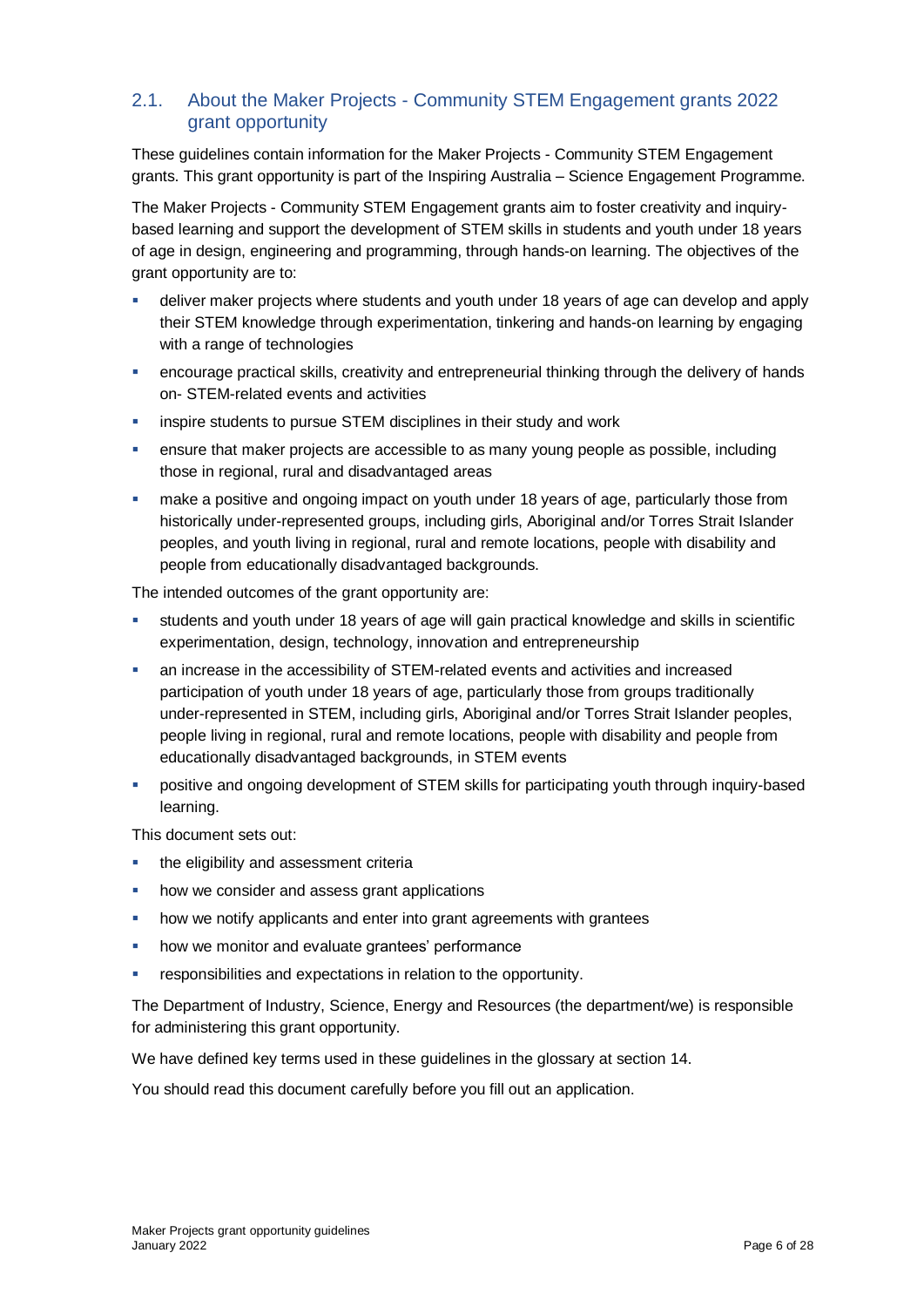#### <span id="page-5-0"></span>2.1. About the Maker Projects - Community STEM Engagement grants 2022 grant opportunity

These guidelines contain information for the Maker Projects - Community STEM Engagement grants. This grant opportunity is part of the Inspiring Australia – Science Engagement Programme.

The Maker Projects - Community STEM Engagement grants aim to foster creativity and inquirybased learning and support the development of STEM skills in students and youth under 18 years of age in design, engineering and programming, through hands-on learning. The objectives of the grant opportunity are to:

- deliver maker projects where students and youth under 18 years of age can develop and apply their STEM knowledge through experimentation, tinkering and hands-on learning by engaging with a range of technologies
- encourage practical skills, creativity and entrepreneurial thinking through the delivery of hands on- STEM-related events and activities
- **EXECT** inspire students to pursue STEM disciplines in their study and work
- ensure that maker projects are accessible to as many young people as possible, including those in regional, rural and disadvantaged areas
- **EXED A** make a positive and ongoing impact on youth under 18 years of age, particularly those from historically under-represented groups, including girls, Aboriginal and/or Torres Strait Islander peoples, and youth living in regional, rural and remote locations, people with disability and people from educationally disadvantaged backgrounds.

The intended outcomes of the grant opportunity are:

- students and youth under 18 years of age will gain practical knowledge and skills in scientific experimentation, design, technology, innovation and entrepreneurship
- an increase in the accessibility of STEM-related events and activities and increased participation of youth under 18 years of age, particularly those from groups traditionally under-represented in STEM, including girls, Aboriginal and/or Torres Strait Islander peoples, people living in regional, rural and remote locations, people with disability and people from educationally disadvantaged backgrounds, in STEM events
- positive and ongoing development of STEM skills for participating youth through inquiry-based learning.

This document sets out:

- the eligibility and assessment criteria
- how we consider and assess grant applications
- how we notify applicants and enter into grant agreements with grantees
- **how we monitor and evaluate grantees' performance**
- **F** responsibilities and expectations in relation to the opportunity.

The Department of Industry, Science, Energy and Resources (the department/we) is responsible for administering this grant opportunity.

We have defined key terms used in these guidelines in the glossary at section [14.](#page-21-0)

You should read this document carefully before you fill out an application.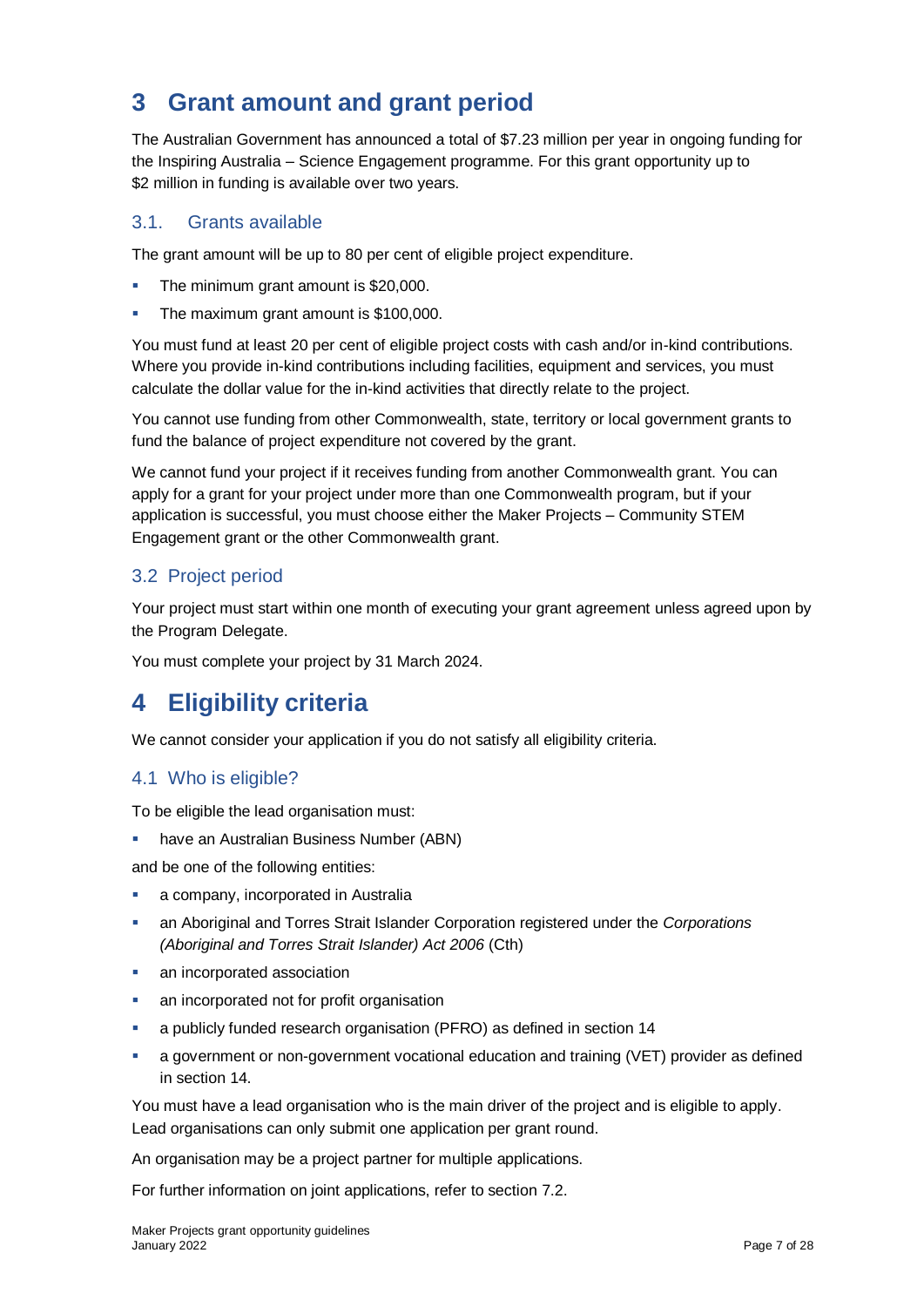# <span id="page-6-0"></span>**3 Grant amount and grant period**

The Australian Government has announced a total of \$7.23 million per year in ongoing funding for the Inspiring Australia – Science Engagement programme. For this grant opportunity up to \$2 million in funding is available over two vears.

#### <span id="page-6-1"></span>3.1. Grants available

The grant amount will be up to 80 per cent of eligible project expenditure.

- The minimum grant amount is \$20,000.
- The maximum grant amount is \$100,000.

You must fund at least 20 per cent of eligible project costs with cash and/or in-kind contributions. Where you provide in-kind contributions including facilities, equipment and services, you must calculate the dollar value for the in-kind activities that directly relate to the project.

You cannot use funding from other Commonwealth, state, territory or local government grants to fund the balance of project expenditure not covered by the grant.

We cannot fund your project if it receives funding from another Commonwealth grant. You can apply for a grant for your project under more than one Commonwealth program, but if your application is successful, you must choose either the Maker Projects – Community STEM Engagement grant or the other Commonwealth grant.

### <span id="page-6-2"></span>3.2 Project period

Your project must start within one month of executing your grant agreement unless agreed upon by the Program Delegate.

You must complete your project by 31 March 2024.

# <span id="page-6-3"></span>**4 Eligibility criteria**

We cannot consider your application if you do not satisfy all eligibility criteria.

#### <span id="page-6-4"></span>4.1 Who is eligible?

To be eligible the lead organisation must:

**• have an Australian Business Number (ABN)** 

and be one of the following entities:

- a company, incorporated in Australia
- an Aboriginal and Torres Strait Islander Corporation registered under the *Corporations (Aboriginal and Torres Strait Islander) Act 2006* (Cth)
- an incorporated association
- an incorporated not for profit organisation
- a publicly funded research organisation (PFRO) as defined in section [14](#page-21-0)
- a government or non-government vocational education and training (VET) provider as defined in section 14.

You must have a lead organisation who is the main driver of the project and is eligible to apply. Lead organisations can only submit one application per grant round.

An organisation may be a project partner for multiple applications.

For further information on joint applications, refer to section [7.2.](#page-11-1)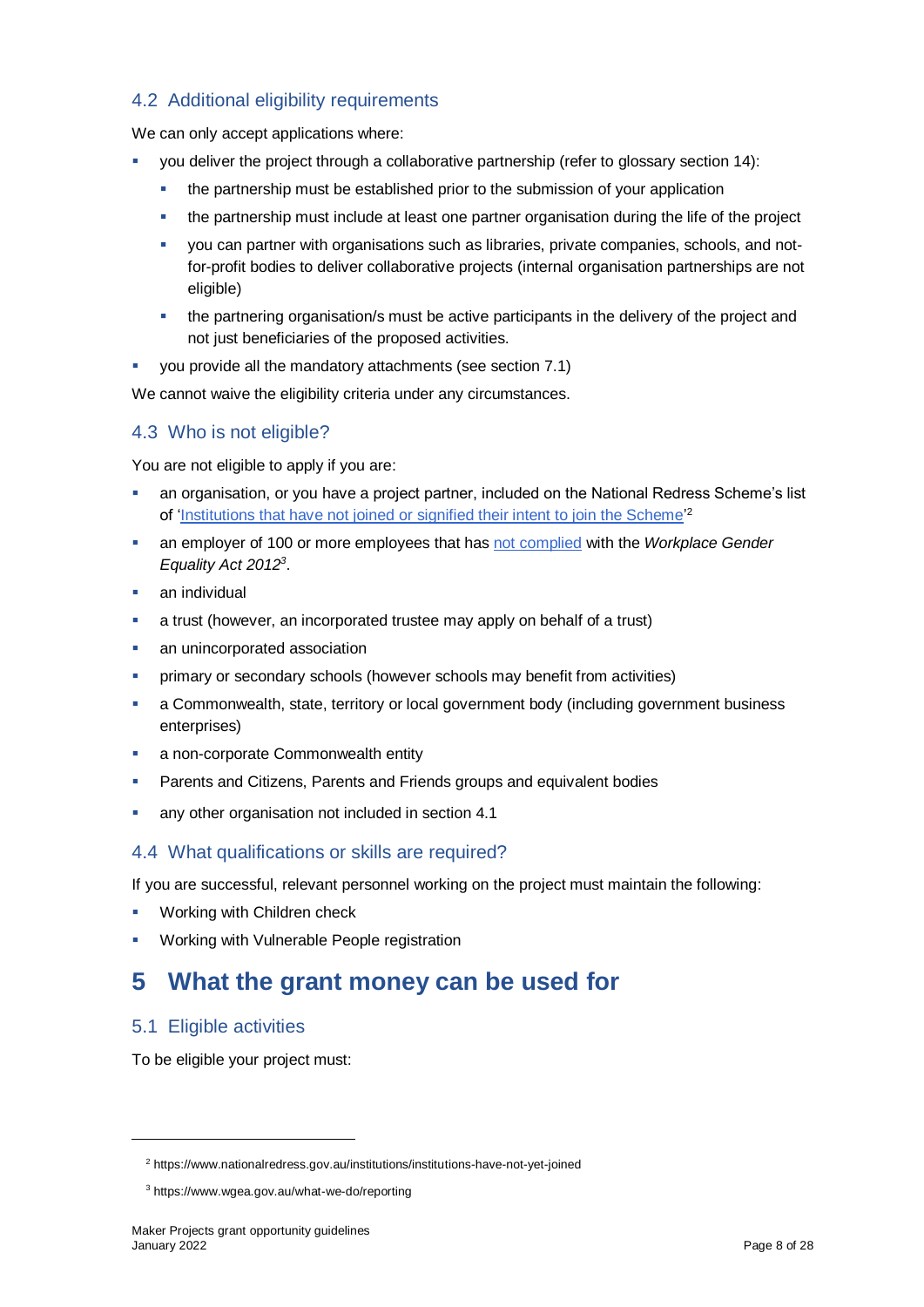#### <span id="page-7-0"></span>4.2 Additional eligibility requirements

We can only accept applications where:

- you deliver the project through a collaborative partnership (refer to glossary section 14):
	- the partnership must be established prior to the submission of your application
	- the partnership must include at least one partner organisation during the life of the project
	- you can partner with organisations such as libraries, private companies, schools, and notfor-profit bodies to deliver collaborative projects (internal organisation partnerships are not eligible)
	- the partnering organisation/s must be active participants in the delivery of the project and not just beneficiaries of the proposed activities.
- you provide all the mandatory attachments (see section 7.1)

We cannot waive the eligibility criteria under any circumstances.

#### <span id="page-7-1"></span>4.3 Who is not eligible?

You are not eligible to apply if you are:

- an organisation, or you have a project partner, included on the National Redress Scheme's list of 'Institutions that have not joined or signified their intent to join the Scheme<sup>'2</sup>
- an employer of 100 or more employees that has [not complied](https://www.wgea.gov.au/what-we-do/compliance-reporting/non-compliant-list) with the *Workplace Gender Equality Act 2012<sup>3</sup>* .
- an individual
- a trust (however, an incorporated trustee may apply on behalf of a trust)
- an unincorporated association
- primary or secondary schools (however schools may benefit from activities)
- a Commonwealth, state, territory or local government body (including government business enterprises)
- a non-corporate Commonwealth entity
- Parents and Citizens, Parents and Friends groups and equivalent bodies
- any other organisation not included in section [4.1](#page-6-4)

#### <span id="page-7-2"></span>4.4 What qualifications or skills are required?

If you are successful, relevant personnel working on the project must maintain the following:

- Working with Children check
- Working with Vulnerable People registration

### <span id="page-7-3"></span>**5 What the grant money can be used for**

#### <span id="page-7-4"></span>5.1 Eligible activities

l

To be eligible your project must:

<sup>2</sup> https://www.nationalredress.gov.au/institutions/institutions-have-not-yet-joined

<sup>3</sup> https://www.wgea.gov.au/what-we-do/reporting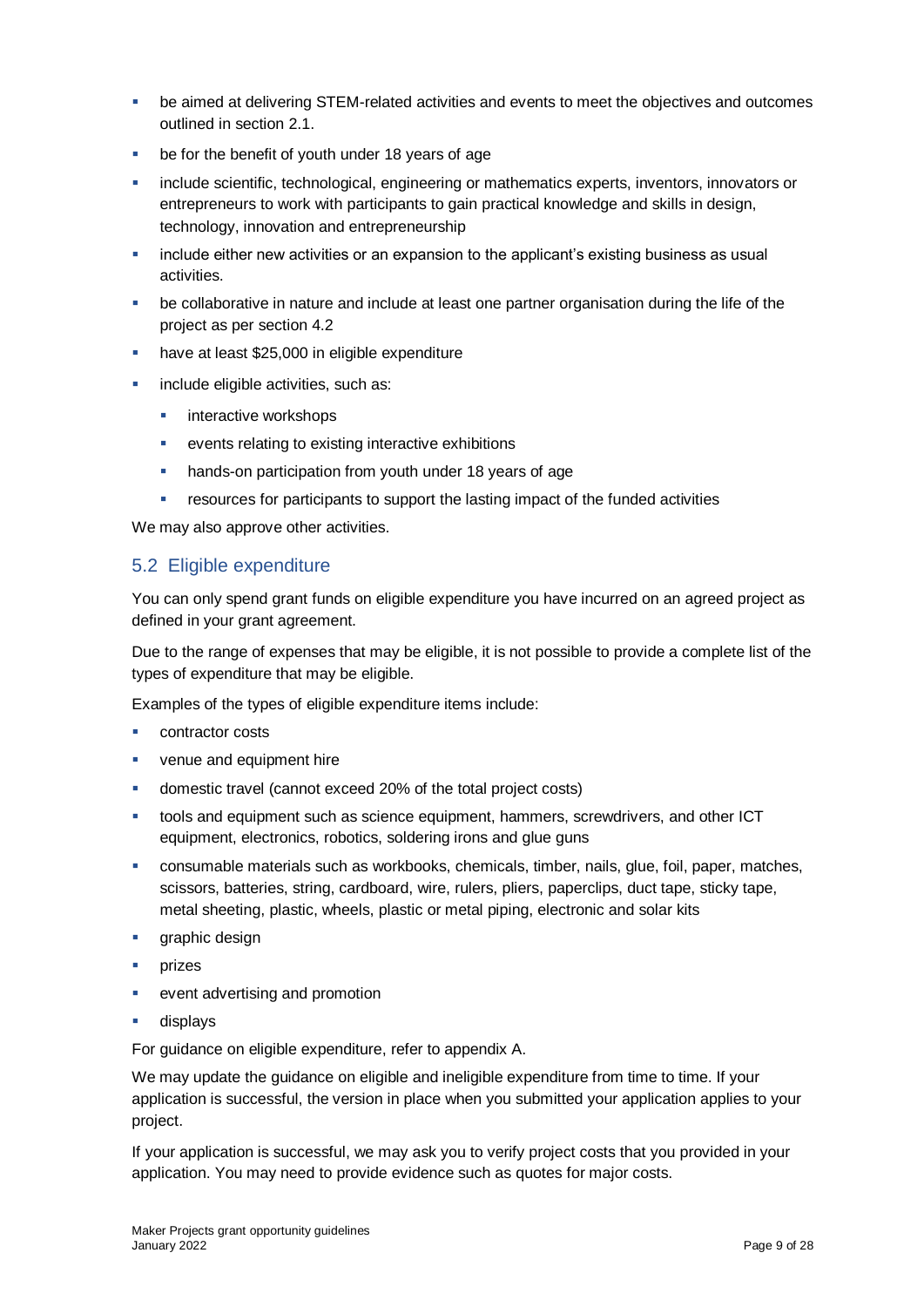- be aimed at delivering STEM-related activities and events to meet the objectives and outcomes outlined in section 2.1.
- be for the benefit of youth under 18 years of age
- include scientific, technological, engineering or mathematics experts, inventors, innovators or entrepreneurs to work with participants to gain practical knowledge and skills in design, technology, innovation and entrepreneurship
- include either new activities or an expansion to the applicant's existing business as usual activities.
- be collaborative in nature and include at least one partner organisation during the life of the project as per section 4.2
- have at least \$25,000 in eligible expenditure
- include eligible activities, such as:
	- **interactive workshops**
	- events relating to existing interactive exhibitions
	- **hands-on participation from youth under 18 years of age**
	- **F** resources for participants to support the lasting impact of the funded activities

We may also approve other activities.

#### <span id="page-8-0"></span>5.2 Eligible expenditure

You can only spend grant funds on eligible expenditure you have incurred on an agreed project as defined in your grant agreement.

Due to the range of expenses that may be eligible, it is not possible to provide a complete list of the types of expenditure that may be eligible.

Examples of the types of eligible expenditure items include:

- contractor costs
- **venue and equipment hire**
- domestic travel (cannot exceed 20% of the total project costs)
- tools and equipment such as science equipment, hammers, screwdrivers, and other ICT equipment, electronics, robotics, soldering irons and glue guns
- consumable materials such as workbooks, chemicals, timber, nails, glue, foil, paper, matches, scissors, batteries, string, cardboard, wire, rulers, pliers, paperclips, duct tape, sticky tape, metal sheeting, plastic, wheels, plastic or metal piping, electronic and solar kits
- graphic design
- $\blacksquare$  prizes
- event advertising and promotion
- displays

For guidance on eligible expenditure, refer to appendix A.

We may update the guidance on eligible and ineligible expenditure from time to time. If your application is successful, the version in place when you submitted your application applies to your project.

If your application is successful, we may ask you to verify project costs that you provided in your application. You may need to provide evidence such as quotes for major costs.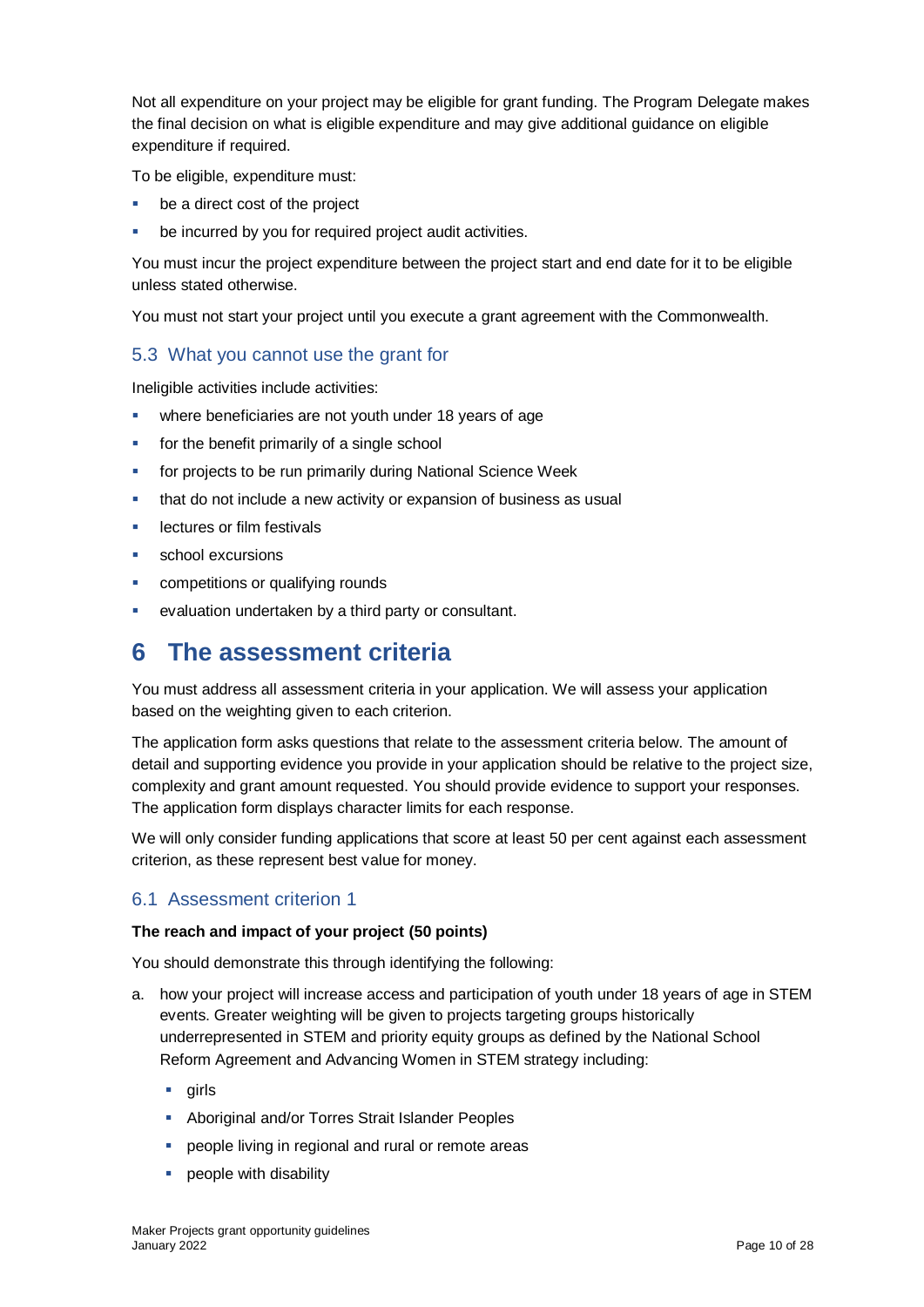Not all expenditure on your project may be eligible for grant funding. The Program Delegate makes the final decision on what is eligible expenditure and may give additional guidance on eligible expenditure if required.

To be eligible, expenditure must:

- be a direct cost of the project
- be incurred by you for required project audit activities.

You must incur the project expenditure between the project start and end date for it to be eligible unless stated otherwise.

You must not start your project until you execute a grant agreement with the Commonwealth.

#### <span id="page-9-0"></span>5.3 What you cannot use the grant for

Ineligible activities include activities:

- **•** where beneficiaries are not youth under 18 years of age
- **for the benefit primarily of a single school**
- for projects to be run primarily during National Science Week
- **that do not include a new activity or expansion of business as usual**
- lectures or film festivals
- school excursions
- competitions or qualifying rounds
- evaluation undertaken by a third party or consultant.

### <span id="page-9-1"></span>**6 The assessment criteria**

You must address all assessment criteria in your application. We will assess your application based on the weighting given to each criterion.

The application form asks questions that relate to the assessment criteria below. The amount of detail and supporting evidence you provide in your application should be relative to the project size, complexity and grant amount requested. You should provide evidence to support your responses. The application form displays character limits for each response.

We will only consider funding applications that score at least 50 per cent against each assessment criterion, as these represent best value for money.

#### <span id="page-9-2"></span>6.1 Assessment criterion 1

#### **The reach and impact of your project (50 points)**

You should demonstrate this through identifying the following:

- a. how your project will increase access and participation of youth under 18 years of age in STEM events. Greater weighting will be given to projects targeting groups historically underrepresented in STEM and priority equity groups as defined by the National School Reform Agreement and Advancing Women in STEM strategy including:
	- $\blacksquare$  airls
	- **Aboriginal and/or Torres Strait Islander Peoples**
	- **PEOP** people living in regional and rural or remote areas
	- **people with disability**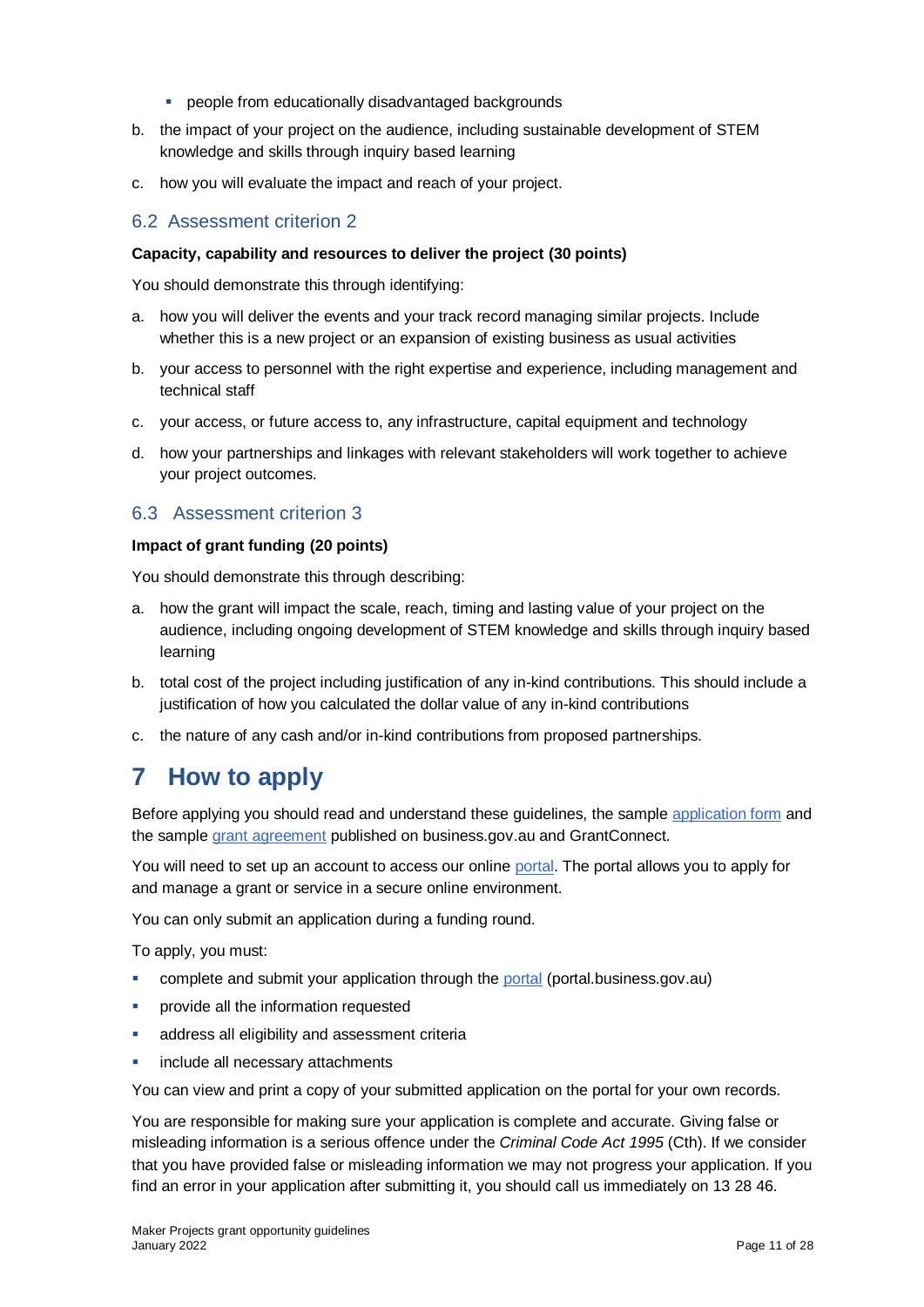- **PEOPLE from educationally disadvantaged backgrounds**
- b. the impact of your project on the audience, including sustainable development of STEM knowledge and skills through inquiry based learning
- c. how you will evaluate the impact and reach of your project.

#### <span id="page-10-0"></span>6.2 Assessment criterion 2

#### **Capacity, capability and resources to deliver the project (30 points)**

You should demonstrate this through identifying:

- a. how you will deliver the events and your track record managing similar projects. Include whether this is a new project or an expansion of existing business as usual activities
- b. your access to personnel with the right expertise and experience, including management and technical staff
- c. your access, or future access to, any infrastructure, capital equipment and technology
- d. how your partnerships and linkages with relevant stakeholders will work together to achieve your project outcomes.

#### <span id="page-10-1"></span>6.3 Assessment criterion 3

#### **Impact of grant funding (20 points)**

You should demonstrate this through describing:

- a. how the grant will impact the scale, reach, timing and lasting value of your project on the audience, including ongoing development of STEM knowledge and skills through inquiry based learning
- b. total cost of the project including justification of any in-kind contributions. This should include a justification of how you calculated the dollar value of any in-kind contributions
- c. the nature of any cash and/or in-kind contributions from proposed partnerships.

### <span id="page-10-2"></span>**7 How to apply**

Before applying you should read and understand these guidelines, the sample [application form](https://business.gov.au/grants-and-programs/maker-projects-community-stem-engagement-grants-2022#key-documents) and the sample [grant agreement](https://business.gov.au/grants-and-programs/maker-projects-community-stem-engagement-grants-2022#key-documents) published on business.gov.au and GrantConnect.

You will need to set up an account to access our online [portal.](https://portal.business.gov.au/) The portal allows you to apply for and manage a grant or service in a secure online environment.

You can only submit an application during a funding round.

To apply, you must:

- complete and submit your application through the [portal](https://portal.business.gov.au/) (portal.business.gov.au)
- **•** provide all the information requested
- **address all eligibility and assessment criteria**
- **include all necessary attachments**

You can view and print a copy of your submitted application on the portal for your own records.

You are responsible for making sure your application is complete and accurate. Giving false or misleading information is a serious offence under the *Criminal Code Act 1995* (Cth). If we consider that you have provided false or misleading information we may not progress your application. If you find an error in your application after submitting it, you should call us immediately on 13 28 46.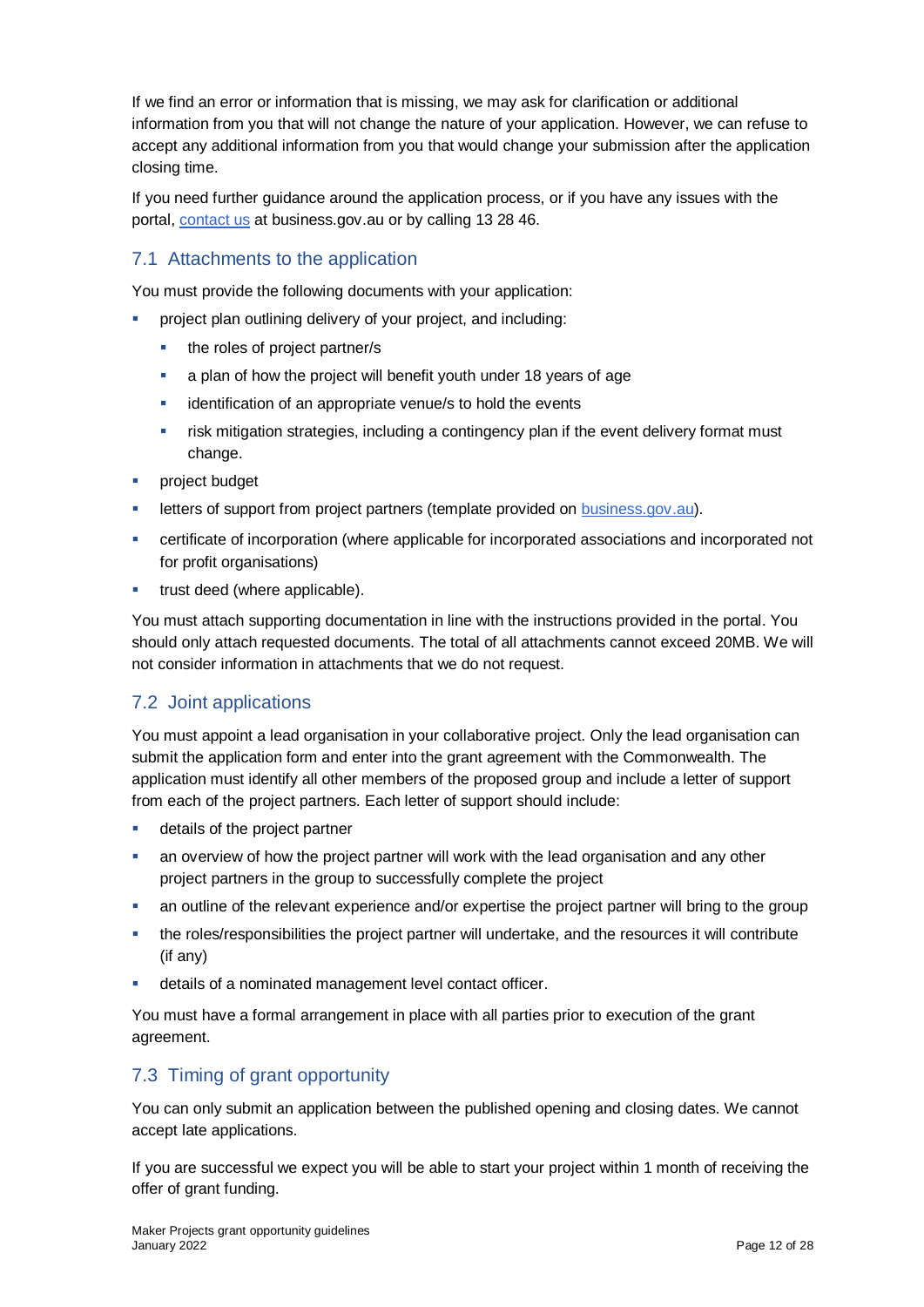If we find an error or information that is missing, we may ask for clarification or additional information from you that will not change the nature of your application. However, we can refuse to accept any additional information from you that would change your submission after the application closing time.

If you need further guidance around the application process, or if you have any issues with the portal, [contact us](https://www.business.gov.au/contact-us) at business.gov.au or by calling 13 28 46.

### <span id="page-11-0"></span>7.1 Attachments to the application

You must provide the following documents with your application:

- project plan outlining delivery of your project, and including:
	- the roles of project partner/s
	- **a** a plan of how the project will benefit youth under 18 years of age
	- **EXECT** identification of an appropriate venue/s to hold the events
	- **Filter** isk mitigation strategies, including a contingency plan if the event delivery format must change.
- **project budget**
- letters of support from project partners (template provided on [business.gov.au\)](https://business.gov.au/grants-and-programs/maker-projects-community-stem-engagement-grants-2022).
- certificate of incorporation (where applicable for incorporated associations and incorporated not for profit organisations)
- **trust deed (where applicable).**

You must attach supporting documentation in line with the instructions provided in the portal. You should only attach requested documents. The total of all attachments cannot exceed 20MB. We will not consider information in attachments that we do not request.

#### <span id="page-11-1"></span>7.2 Joint applications

You must appoint a lead organisation in your collaborative project. Only the lead organisation can submit the application form and enter into the grant agreement with the Commonwealth. The application must identify all other members of the proposed group and include a letter of support from each of the project partners. Each letter of support should include:

- **details of the project partner**
- an overview of how the project partner will work with the lead organisation and any other project partners in the group to successfully complete the project
- an outline of the relevant experience and/or expertise the project partner will bring to the group
- the roles/responsibilities the project partner will undertake, and the resources it will contribute (if any)
- details of a nominated management level contact officer.

You must have a formal arrangement in place with all parties prior to execution of the grant agreement.

#### <span id="page-11-2"></span>7.3 Timing of grant opportunity

You can only submit an application between the published opening and closing dates. We cannot accept late applications.

If you are successful we expect you will be able to start your project within 1 month of receiving the offer of grant funding.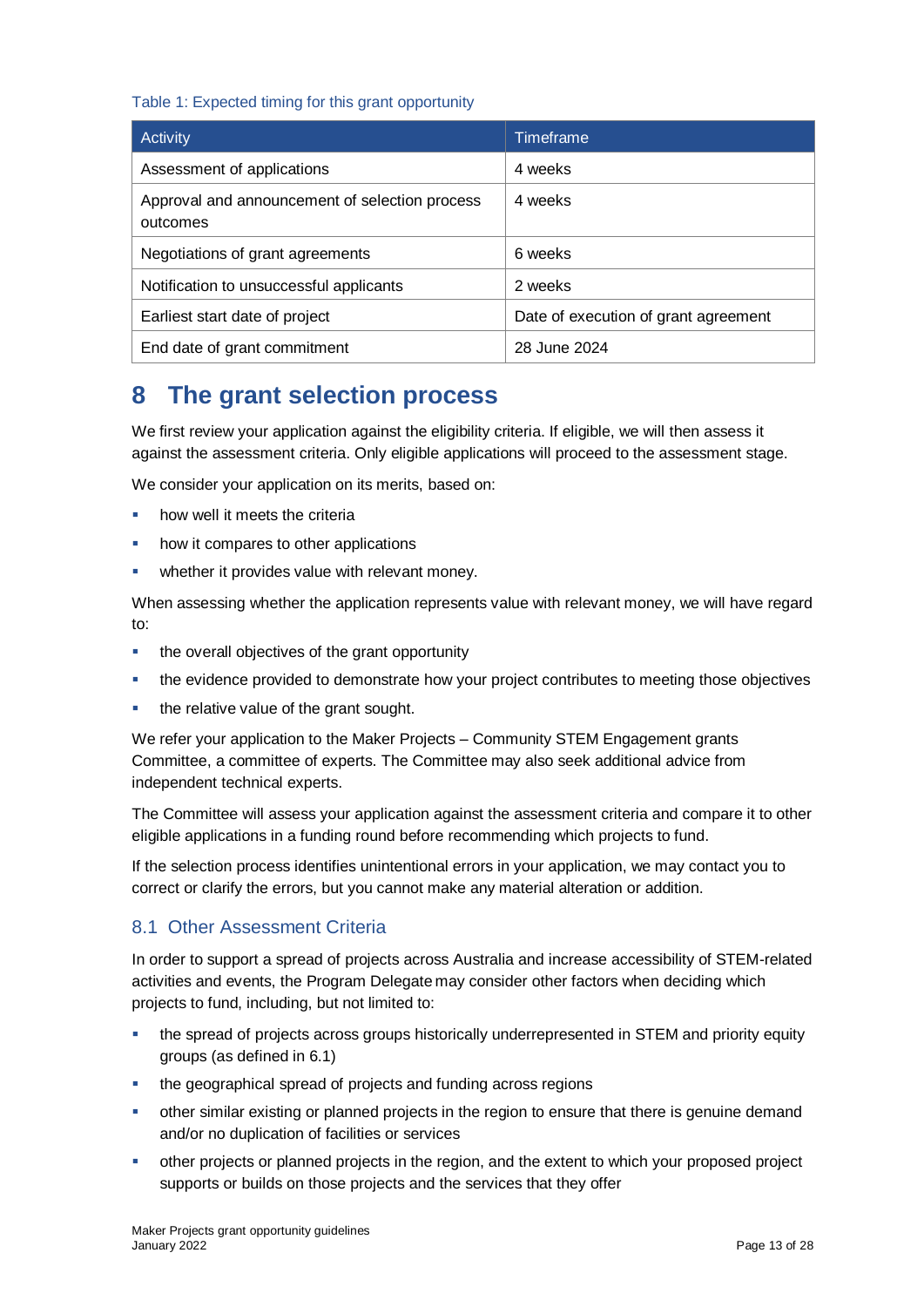#### Table 1: Expected timing for this grant opportunity

| Activity                                                   | Timeframe                            |
|------------------------------------------------------------|--------------------------------------|
| Assessment of applications                                 | 4 weeks                              |
| Approval and announcement of selection process<br>outcomes | 4 weeks                              |
| Negotiations of grant agreements                           | 6 weeks                              |
| Notification to unsuccessful applicants                    | 2 weeks                              |
| Earliest start date of project                             | Date of execution of grant agreement |
| End date of grant commitment                               | 28 June 2024                         |

## <span id="page-12-0"></span>**8 The grant selection process**

We first review your application against the eligibility criteria. If eligible, we will then assess it against the assessment criteria. Only eligible applications will proceed to the assessment stage.

We consider your application on its merits, based on:

- how well it meets the criteria
- how it compares to other applications
- **•** whether it provides value with relevant money.

When assessing whether the application represents value with relevant money, we will have regard to:

- the overall objectives of the grant opportunity
- the evidence provided to demonstrate how your project contributes to meeting those objectives
- the relative value of the grant sought.

We refer your application to the Maker Projects – Community STEM Engagement grants Committee, a committee of experts. The Committee may also seek additional advice from independent technical experts.

The Committee will assess your application against the assessment criteria and compare it to other eligible applications in a funding round before recommending which projects to fund.

If the selection process identifies unintentional errors in your application, we may contact you to correct or clarify the errors, but you cannot make any material alteration or addition.

#### <span id="page-12-1"></span>8.1 Other Assessment Criteria

In order to support a spread of projects across Australia and increase accessibility of STEM-related activities and events, the Program Delegate may consider other factors when deciding which projects to fund, including, but not limited to:

- the spread of projects across groups historically underrepresented in STEM and priority equity groups (as defined in 6.1)
- the geographical spread of projects and funding across regions
- other similar existing or planned projects in the region to ensure that there is genuine demand and/or no duplication of facilities or services
- other projects or planned projects in the region, and the extent to which your proposed project supports or builds on those projects and the services that they offer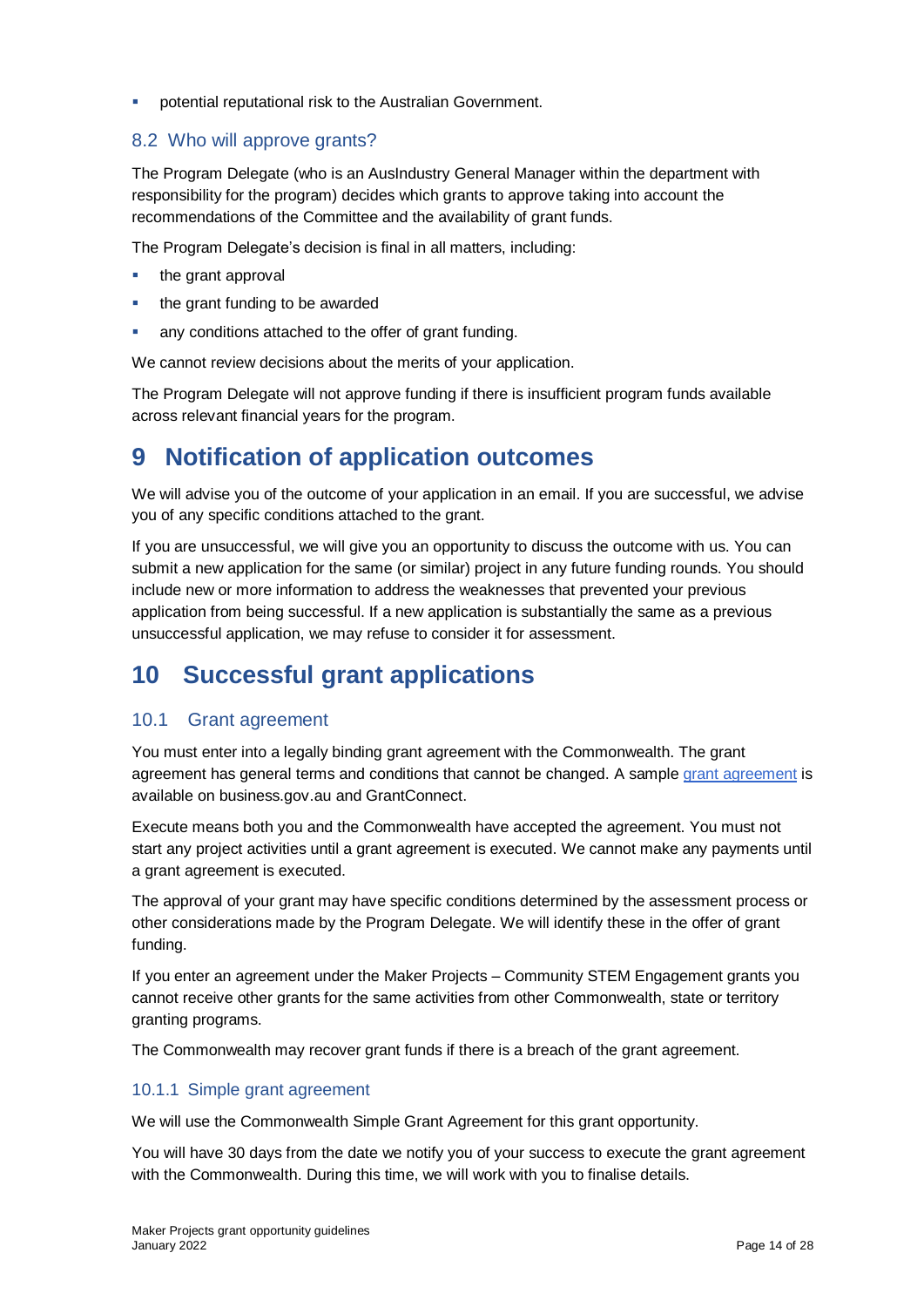**•** potential reputational risk to the Australian Government.

#### <span id="page-13-0"></span>8.2 Who will approve grants?

The Program Delegate (who is an AusIndustry General Manager within the department with responsibility for the program) decides which grants to approve taking into account the recommendations of the Committee and the availability of grant funds.

The Program Delegate's decision is final in all matters, including:

- $\blacksquare$  the grant approval
- the grant funding to be awarded
- any conditions attached to the offer of grant funding.

We cannot review decisions about the merits of your application.

The Program Delegate will not approve funding if there is insufficient program funds available across relevant financial years for the program.

### <span id="page-13-1"></span>**9 Notification of application outcomes**

We will advise you of the outcome of your application in an email. If you are successful, we advise you of any specific conditions attached to the grant.

If you are unsuccessful, we will give you an opportunity to discuss the outcome with us. You can submit a new application for the same (or similar) project in any future funding rounds. You should include new or more information to address the weaknesses that prevented your previous application from being successful. If a new application is substantially the same as a previous unsuccessful application, we may refuse to consider it for assessment.

## <span id="page-13-2"></span>**10 Successful grant applications**

#### <span id="page-13-3"></span>10.1 Grant agreement

You must enter into a legally binding grant agreement with the Commonwealth. The grant agreement has general terms and conditions that cannot be changed. A sample [grant agreement](https://business.gov.au/grants-and-programs/maker-projects-community-stem-engagement-grants-2022#key-documents) is available on business.gov.au and GrantConnect.

Execute means both you and the Commonwealth have accepted the agreement. You must not start any project activities until a grant agreement is executed. We cannot make any payments until a grant agreement is executed.

The approval of your grant may have specific conditions determined by the assessment process or other considerations made by the Program Delegate. We will identify these in the offer of grant funding.

If you enter an agreement under the Maker Projects – Community STEM Engagement grants you cannot receive other grants for the same activities from other Commonwealth, state or territory granting programs.

The Commonwealth may recover grant funds if there is a breach of the grant agreement.

#### <span id="page-13-4"></span>10.1.1 Simple grant agreement

We will use the Commonwealth Simple Grant Agreement for this grant opportunity.

You will have 30 days from the date we notify you of your success to execute the grant agreement with the Commonwealth. During this time, we will work with you to finalise details.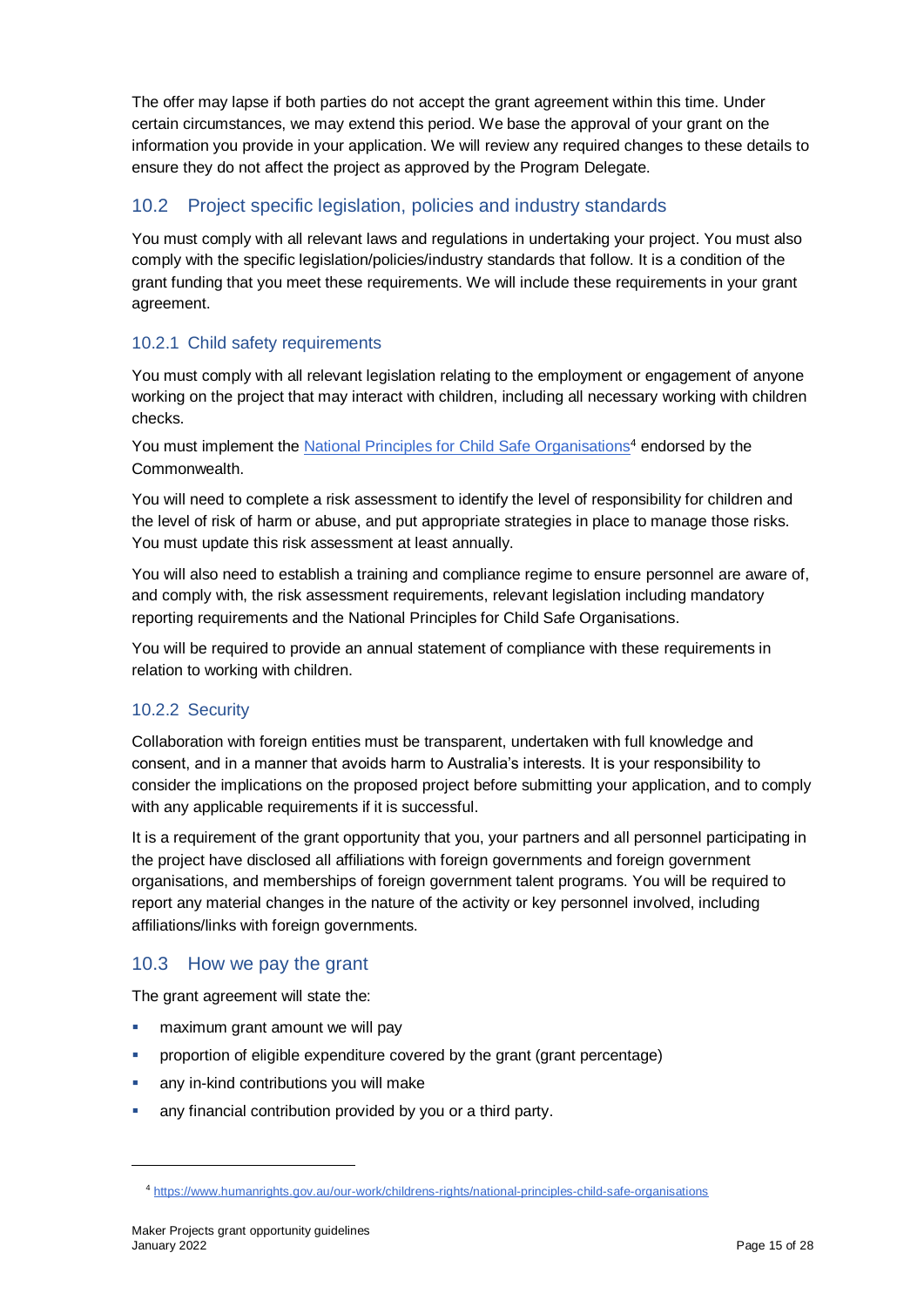The offer may lapse if both parties do not accept the grant agreement within this time. Under certain circumstances, we may extend this period. We base the approval of your grant on the information you provide in your application. We will review any required changes to these details to ensure they do not affect the project as approved by the Program Delegate.

### <span id="page-14-0"></span>10.2 Project specific legislation, policies and industry standards

You must comply with all relevant laws and regulations in undertaking your project. You must also comply with the specific legislation/policies/industry standards that follow. It is a condition of the grant funding that you meet these requirements. We will include these requirements in your grant agreement.

#### <span id="page-14-1"></span>10.2.1 Child safety requirements

You must comply with all relevant legislation relating to the employment or engagement of anyone working on the project that may interact with children, including all necessary working with children checks.

You must implement th[e National Principles for Child Safe Organisations](https://www.humanrights.gov.au/our-work/childrens-rights/national-principles-child-safe-organisations)<sup>4</sup> endorsed by the Commonwealth.

You will need to complete a risk assessment to identify the level of responsibility for children and the level of risk of harm or abuse, and put appropriate strategies in place to manage those risks. You must update this risk assessment at least annually.

You will also need to establish a training and compliance regime to ensure personnel are aware of, and comply with, the risk assessment requirements, relevant legislation including mandatory reporting requirements and the National Principles for Child Safe Organisations.

You will be required to provide an annual statement of compliance with these requirements in relation to working with children.

#### <span id="page-14-2"></span>10.2.2 Security

Collaboration with foreign entities must be transparent, undertaken with full knowledge and consent, and in a manner that avoids harm to Australia's interests. It is your responsibility to consider the implications on the proposed project before submitting your application, and to comply with any applicable requirements if it is successful.

It is a requirement of the grant opportunity that you, your partners and all personnel participating in the project have disclosed all affiliations with foreign governments and foreign government organisations, and memberships of foreign government talent programs. You will be required to report any material changes in the nature of the activity or key personnel involved, including affiliations/links with foreign governments.

#### <span id="page-14-3"></span>10.3 How we pay the grant

The grant agreement will state the:

- maximum grant amount we will pay
- proportion of eligible expenditure covered by the grant (grant percentage)
- **any in-kind contributions you will make**
- any financial contribution provided by you or a third party.

l

<sup>4</sup> <https://www.humanrights.gov.au/our-work/childrens-rights/national-principles-child-safe-organisations>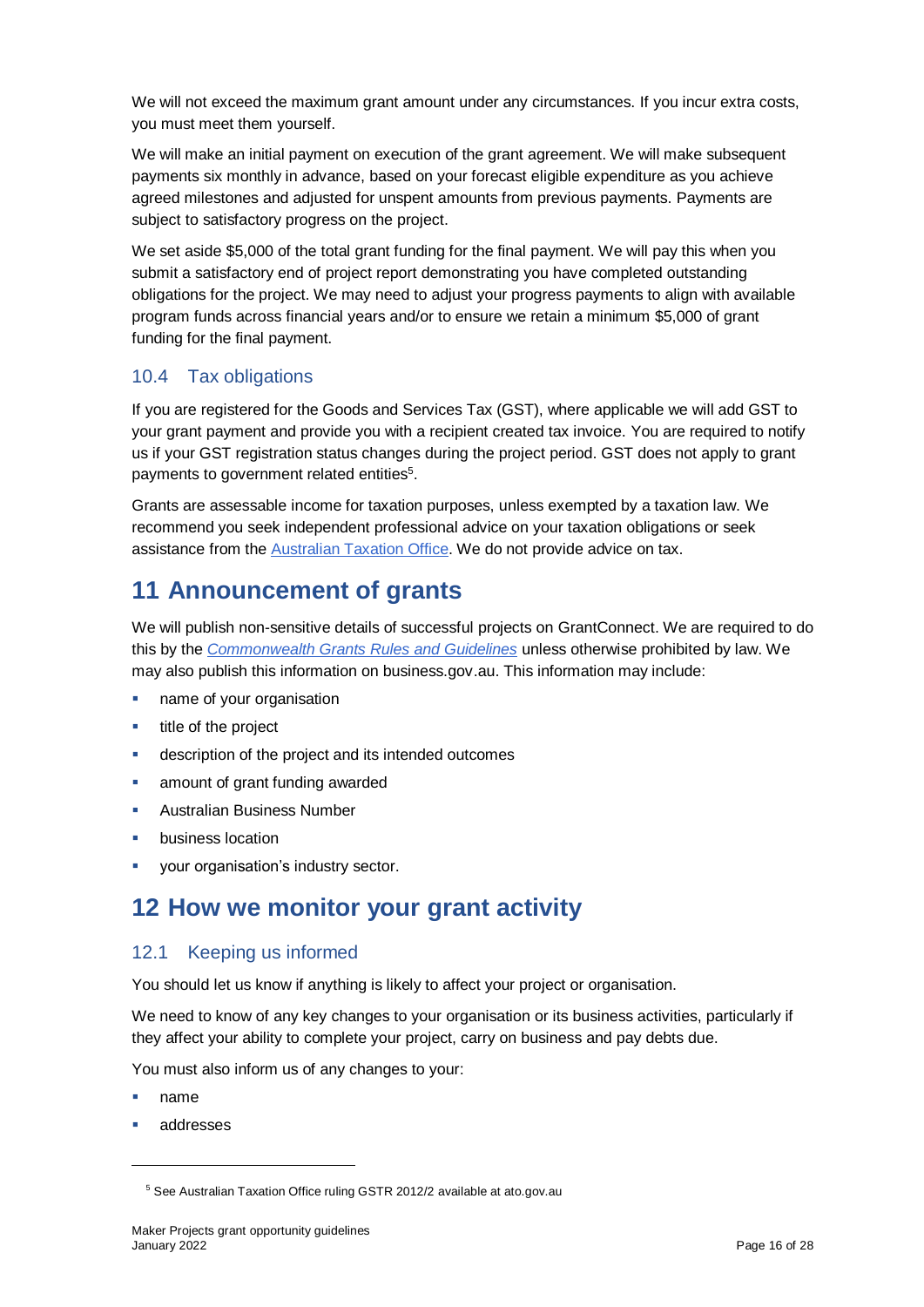We will not exceed the maximum grant amount under any circumstances. If you incur extra costs, you must meet them yourself.

We will make an initial payment on execution of the grant agreement. We will make subsequent payments six monthly in advance, based on your forecast eligible expenditure as you achieve agreed milestones and adjusted for unspent amounts from previous payments. Payments are subject to satisfactory progress on the project.

We set aside \$5,000 of the total grant funding for the final payment. We will pay this when you submit a satisfactory end of project report demonstrating you have completed outstanding obligations for the project. We may need to adjust your progress payments to align with available program funds across financial years and/or to ensure we retain a minimum \$5,000 of grant funding for the final payment.

### <span id="page-15-0"></span>10.4 Tax obligations

If you are registered for the Goods and Services Tax (GST), where applicable we will add GST to your grant payment and provide you with a recipient created tax invoice. You are required to notify us if your GST registration status changes during the project period. GST does not apply to grant payments to government related entities<sup>5</sup>.

Grants are assessable income for taxation purposes, unless exempted by a taxation law. We recommend you seek independent professional advice on your taxation obligations or seek assistance from the [Australian Taxation Office.](https://www.ato.gov.au/) We do not provide advice on tax.

# <span id="page-15-1"></span>**11 Announcement of grants**

We will publish non-sensitive details of successful projects on GrantConnect. We are required to do this by the *[Commonwealth Grants Rules and Guidelines](https://www.finance.gov.au/government/commonwealth-grants/commonwealth-grants-rules-guidelines)* unless otherwise prohibited by law. We may also publish this information on business.gov.au. This information may include:

- **name of your organisation**
- $\blacksquare$  title of the project
- description of the project and its intended outcomes
- **EXECUTE:** amount of grant funding awarded
- Australian Business Number
- business location
- your organisation's industry sector.

## <span id="page-15-2"></span>**12 How we monitor your grant activity**

#### <span id="page-15-3"></span>12.1 Keeping us informed

You should let us know if anything is likely to affect your project or organisation.

We need to know of any key changes to your organisation or its business activities, particularly if they affect your ability to complete your project, carry on business and pay debts due.

You must also inform us of any changes to your:

name

l

addresses

<sup>5</sup> See Australian Taxation Office ruling GSTR 2012/2 available at ato.gov.au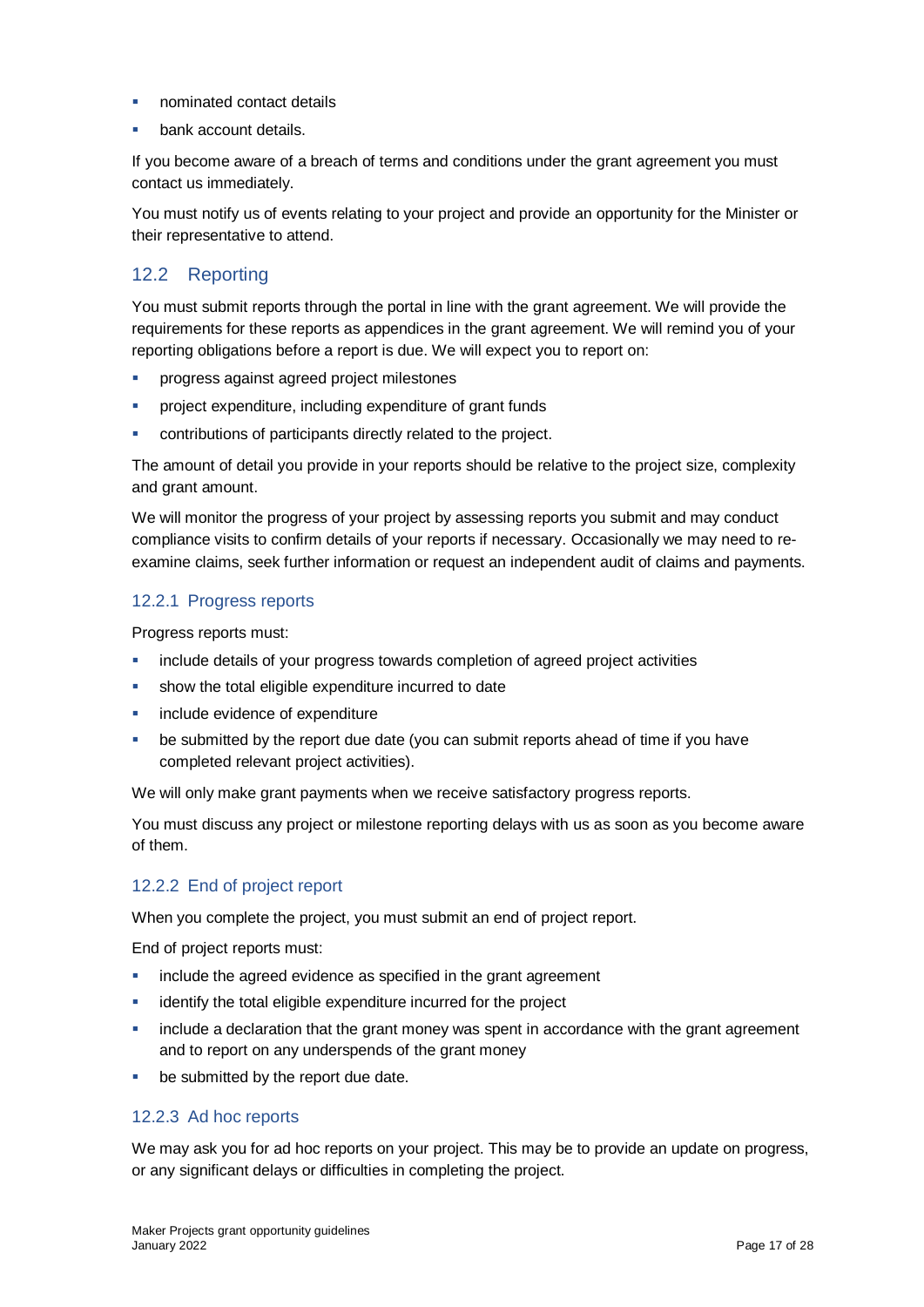- nominated contact details
- bank account details.

If you become aware of a breach of terms and conditions under the grant agreement you must contact us immediately.

You must notify us of events relating to your project and provide an opportunity for the Minister or their representative to attend.

### <span id="page-16-0"></span>12.2 Reporting

You must submit reports through the portal in line with the [grant agreement.](file://///prod.protected.ind/User/user03/LLau2/insert%20link%20here) We will provide the requirements for these reports as appendices in the grant agreement. We will remind you of your reporting obligations before a report is due. We will expect you to report on:

- **PEDIE: Progress against agreed project milestones**
- project expenditure, including expenditure of grant funds
- contributions of participants directly related to the project.

The amount of detail you provide in your reports should be relative to the project size, complexity and grant amount.

We will monitor the progress of your project by assessing reports you submit and may conduct compliance visits to confirm details of your reports if necessary. Occasionally we may need to reexamine claims, seek further information or request an independent audit of claims and payments.

#### <span id="page-16-1"></span>12.2.1 Progress reports

Progress reports must:

- include details of your progress towards completion of agreed project activities
- show the total eligible expenditure incurred to date
- include evidence of expenditure
- be submitted by the report due date (you can submit reports ahead of time if you have completed relevant project activities).

We will only make grant payments when we receive satisfactory progress reports.

You must discuss any project or milestone reporting delays with us as soon as you become aware of them.

#### <span id="page-16-2"></span>12.2.2 End of project report

When you complete the project, you must submit an end of project report.

End of project reports must:

- **include the agreed evidence as specified in the grant agreement**
- identify the total eligible expenditure incurred for the project
- include a declaration that the grant money was spent in accordance with the grant agreement and to report on any underspends of the grant money
- be submitted by the report due date.

#### <span id="page-16-3"></span>12.2.3 Ad hoc reports

We may ask you for ad hoc reports on your project. This may be to provide an update on progress, or any significant delays or difficulties in completing the project.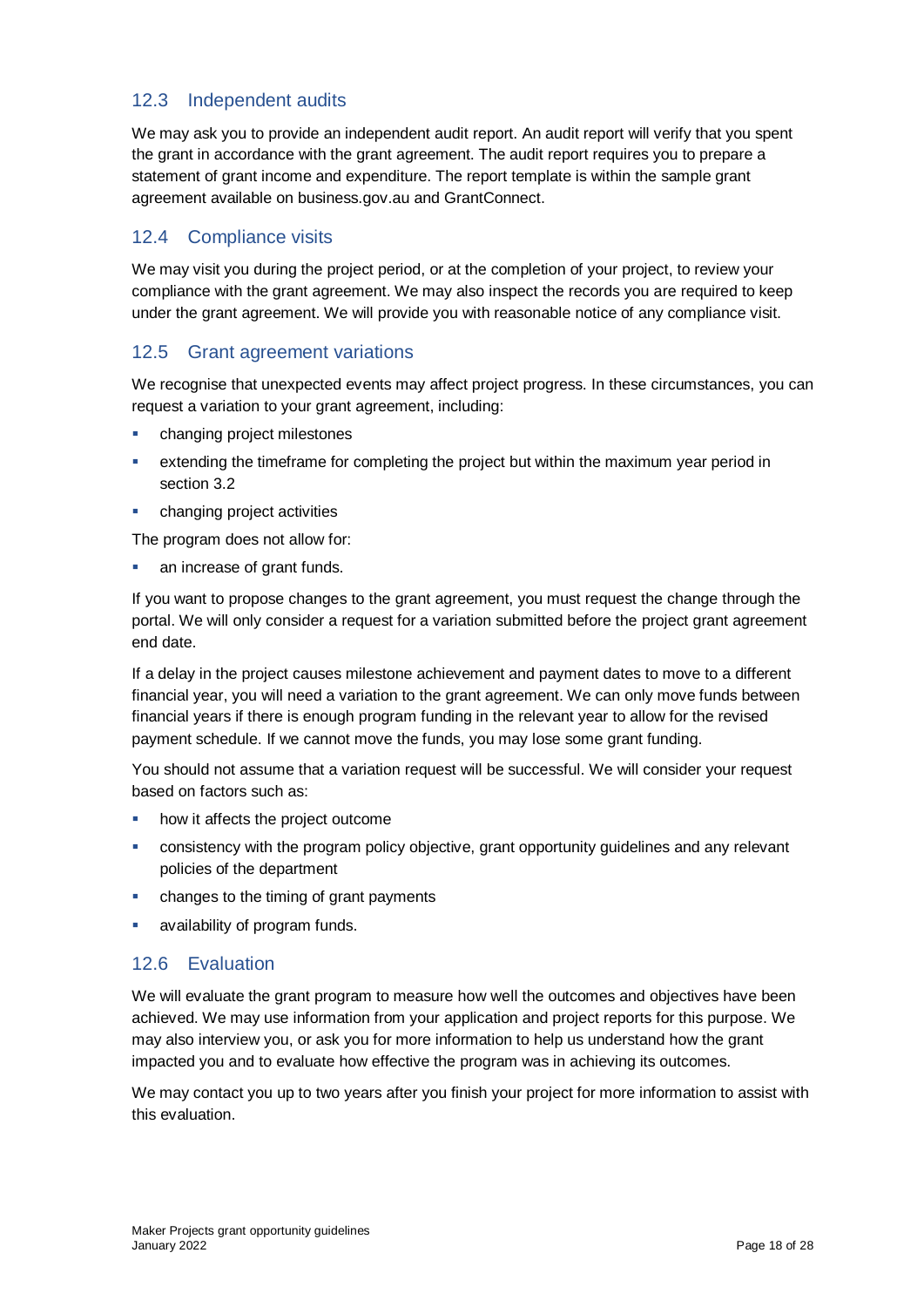### <span id="page-17-0"></span>12.3 Independent audits

We may ask you to provide an independent audit report. An audit report will verify that you spent the grant in accordance with the grant agreement. The audit report requires you to prepare a statement of grant income and expenditure. The report template is within the sample grant agreement available on business.gov.au and GrantConnect.

#### <span id="page-17-1"></span>12.4 Compliance visits

We may visit you during the project period, or at the completion of your project, to review your compliance with the grant agreement. We may also inspect the records you are required to keep under the grant agreement. We will provide you with reasonable notice of any compliance visit.

#### <span id="page-17-2"></span>12.5 Grant agreement variations

We recognise that unexpected events may affect project progress. In these circumstances, you can request a variation to your grant agreement, including:

- **•** changing project milestones
- extending the timeframe for completing the project but within the maximum year period in section 3.2
- changing project activities

The program does not allow for:

an increase of grant funds.

If you want to propose changes to the grant agreement, you must request the change through the portal. We will only consider a request for a variation submitted before the project grant agreement end date.

If a delay in the project causes milestone achievement and payment dates to move to a different financial year, you will need a variation to the grant agreement. We can only move funds between financial years if there is enough program funding in the relevant year to allow for the revised payment schedule. If we cannot move the funds, you may lose some grant funding.

You should not assume that a variation request will be successful. We will consider your request based on factors such as:

- how it affects the project outcome
- consistency with the program policy objective, grant opportunity guidelines and any relevant policies of the department
- changes to the timing of grant payments
- availability of program funds.

#### <span id="page-17-3"></span>12.6 Evaluation

We will evaluate the grant program to measure how well the outcomes and objectives have been achieved. We may use information from your application and project reports for this purpose. We may also interview you, or ask you for more information to help us understand how the grant impacted you and to evaluate how effective the program was in achieving its outcomes.

We may contact you up to two years after you finish your project for more information to assist with this evaluation.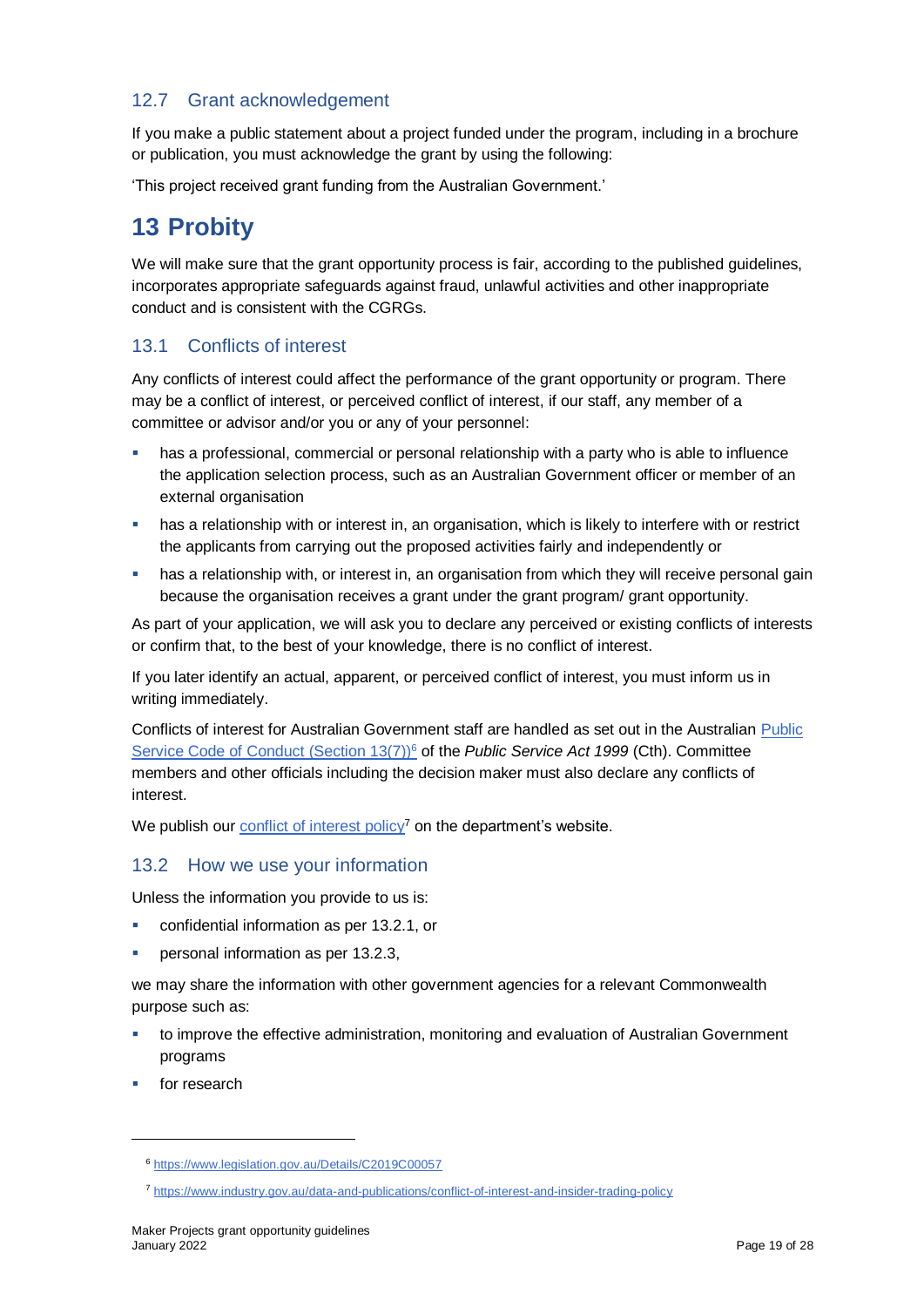### <span id="page-18-0"></span>12.7 Grant acknowledgement

If you make a public statement about a project funded under the program, including in a brochure or publication, you must acknowledge the grant by using the following:

'This project received grant funding from the Australian Government.'

### <span id="page-18-1"></span>**13 Probity**

We will make sure that the grant opportunity process is fair, according to the published guidelines, incorporates appropriate safeguards against fraud, unlawful activities and other inappropriate conduct and is consistent with the CGRGs.

#### <span id="page-18-2"></span>13.1 Conflicts of interest

Any conflicts of interest could affect the performance of the grant opportunity or program. There may be a conflict [of interest,](http://www.apsc.gov.au/publications-and-media/current-publications/aps-values-and-code-of-conduct-in-practice/conflict-of-interest) or perceived conflict of interest, if our staff, any member of a committee or advisor and/or you or any of your personnel:

- has a professional, commercial or personal relationship with a party who is able to influence the application selection process, such as an Australian Government officer or member of an external organisation
- **•** has a relationship with or interest in, an organisation, which is likely to interfere with or restrict the applicants from carrying out the proposed activities fairly and independently or
- has a relationship with, or interest in, an organisation from which they will receive personal gain because the organisation receives a grant under the grant program/ grant opportunity.

As part of your application, we will ask you to declare any perceived or existing conflicts of interests or confirm that, to the best of your knowledge, there is no conflict of interest.

If you later identify an actual, apparent, or perceived conflict of interest, you must inform us in writing immediately.

Conflicts of interest for Australian Government staff are handled as set out in the Australian [Public](https://www.legislation.gov.au/Details/C2019C00057)  [Service Code of Conduct \(Section 13\(7\)\)](https://www.legislation.gov.au/Details/C2019C00057)<sup>6</sup> of the *[Public Service Act 1999](https://www.legislation.gov.au/Details/C2019C00057)* (Cth). Committee members and other officials including the decision maker must also declare any conflicts of interest.

We publish our [conflict of interest policy](https://www.industry.gov.au/data-and-publications/conflict-of-interest-and-insider-trading-policy)<sup>7</sup> on the department's website.

#### <span id="page-18-3"></span>13.2 How we use your information

Unless the information you provide to us is:

- **EXECONFERGIOR CONFIDENT** confidential information as per [13.2.1,](#page-19-0) or
- **Personal information as per [13.2.3,](#page-19-2)**

we may share the information with other government agencies for a relevant Commonwealth purpose such as:

- to improve the effective administration, monitoring and evaluation of Australian Government programs
- for research

l

<sup>6</sup> <https://www.legislation.gov.au/Details/C2019C00057>

<sup>7</sup> <https://www.industry.gov.au/data-and-publications/conflict-of-interest-and-insider-trading-policy>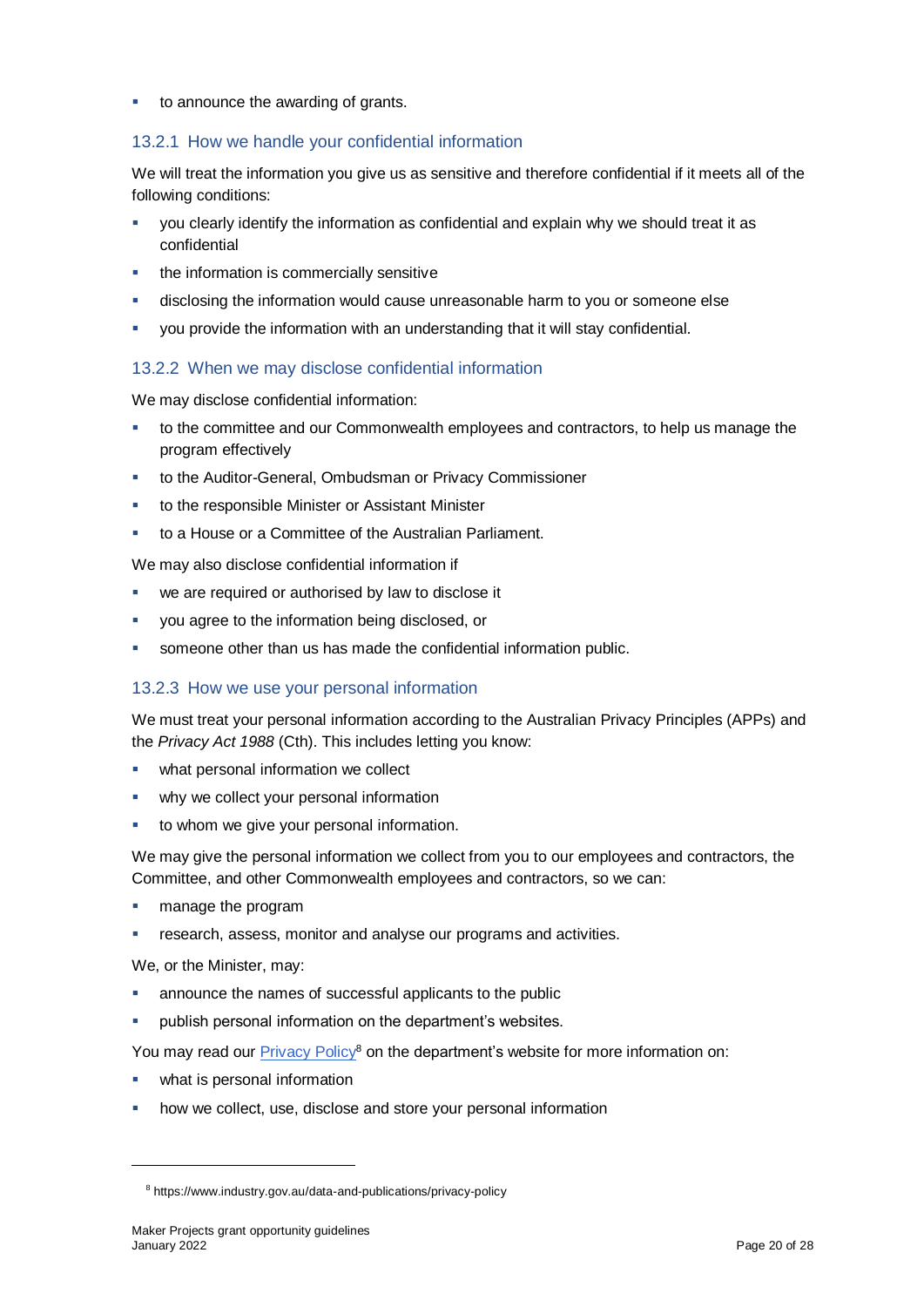to announce the awarding of grants.

#### <span id="page-19-0"></span>13.2.1 How we handle your confidential information

We will treat the information you give us as sensitive and therefore confidential if it meets all of the following conditions:

- you clearly identify the information as confidential and explain why we should treat it as confidential
- the information is commercially sensitive
- disclosing the information would cause unreasonable harm to you or someone else
- you provide the information with an understanding that it will stay confidential.

#### <span id="page-19-1"></span>13.2.2 When we may disclose confidential information

We may disclose confidential information:

- to the committee and our Commonwealth employees and contractors, to help us manage the program effectively
- to the Auditor-General, Ombudsman or Privacy Commissioner
- to the responsible Minister or Assistant Minister
- to a House or a Committee of the Australian Parliament.

We may also disclose confidential information if

- we are required or authorised by law to disclose it
- you agree to the information being disclosed, or
- someone other than us has made the confidential information public.

#### <span id="page-19-2"></span>13.2.3 How we use your personal information

We must treat your personal information according to the Australian Privacy Principles (APPs) and the *Privacy Act 1988* (Cth). This includes letting you know:

- **•** what personal information we collect
- why we collect your personal information
- to whom we give your personal information.

We may give the personal information we collect from you to our employees and contractors, the Committee, and other Commonwealth employees and contractors, so we can:

- manage the program
- research, assess, monitor and analyse our programs and activities.

We, or the Minister, may:

l

- announce the names of successful applicants to the public
- **•** publish personal information on the department's websites.

You may read our **Privacy Policy<sup>8</sup>** on the department's website for more information on:

- what is personal information
- how we collect, use, disclose and store your personal information

<sup>8</sup> https://www.industry.gov.au/data-and-publications/privacy-policy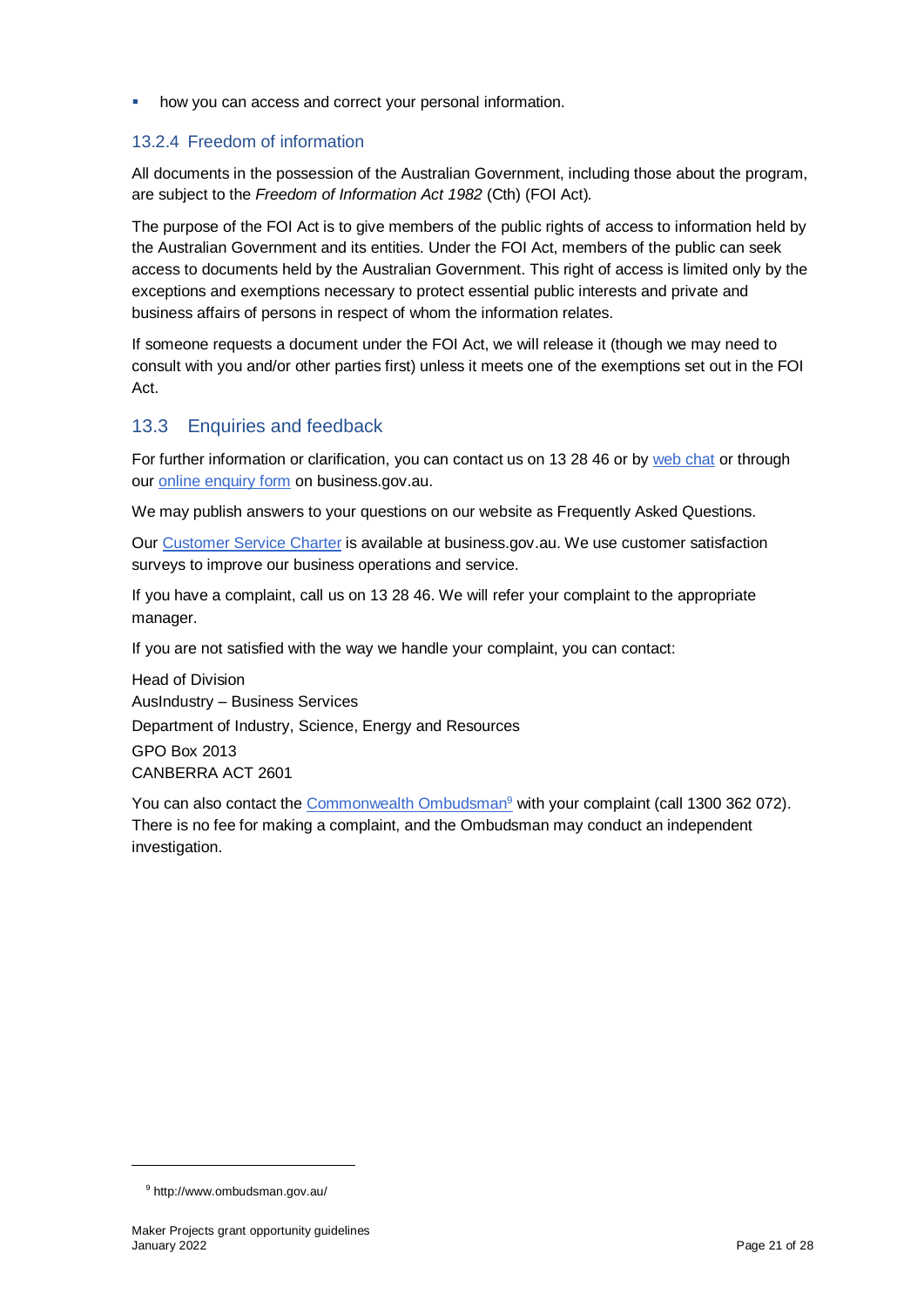**•** how you can access and correct your personal information.

#### <span id="page-20-0"></span>13.2.4 Freedom of information

All documents in the possession of the Australian Government, including those about the program, are subject to the *Freedom of Information Act 1982* (Cth) (FOI Act)*.*

The purpose of the FOI Act is to give members of the public rights of access to information held by the Australian Government and its entities. Under the FOI Act, members of the public can seek access to documents held by the Australian Government. This right of access is limited only by the exceptions and exemptions necessary to protect essential public interests and private and business affairs of persons in respect of whom the information relates.

If someone requests a document under the FOI Act, we will release it (though we may need to consult with you and/or other parties first) unless it meets one of the exemptions set out in the FOI Act.

#### <span id="page-20-1"></span>13.3 Enquiries and feedback

For further information or clarification, you can contact us on 13 28 46 or by [web chat](https://www.business.gov.au/contact-us) or through our [online enquiry form](http://www.business.gov.au/contact-us/Pages/default.aspx) on business.gov.au.

We may publish answers to your questions on our website as Frequently Asked Questions.

Our [Customer Service Charter](https://www.business.gov.au/about/customer-service-charter) is available at [business.gov.au.](http://www.business.gov.au/) We use customer satisfaction surveys to improve our business operations and service.

If you have a complaint, call us on 13 28 46. We will refer your complaint to the appropriate manager.

If you are not satisfied with the way we handle your complaint, you can contact:

Head of Division AusIndustry – Business Services Department of Industry, Science, Energy and Resources GPO Box 2013 CANBERRA ACT 2601

You can also contact the [Commonwealth Ombudsman](http://www.ombudsman.gov.au/)<sup>9</sup> with your complaint (call 1300 362 072). There is no fee for making a complaint, and the Ombudsman may conduct an independent investigation.

l

<sup>9</sup> http://www.ombudsman.gov.au/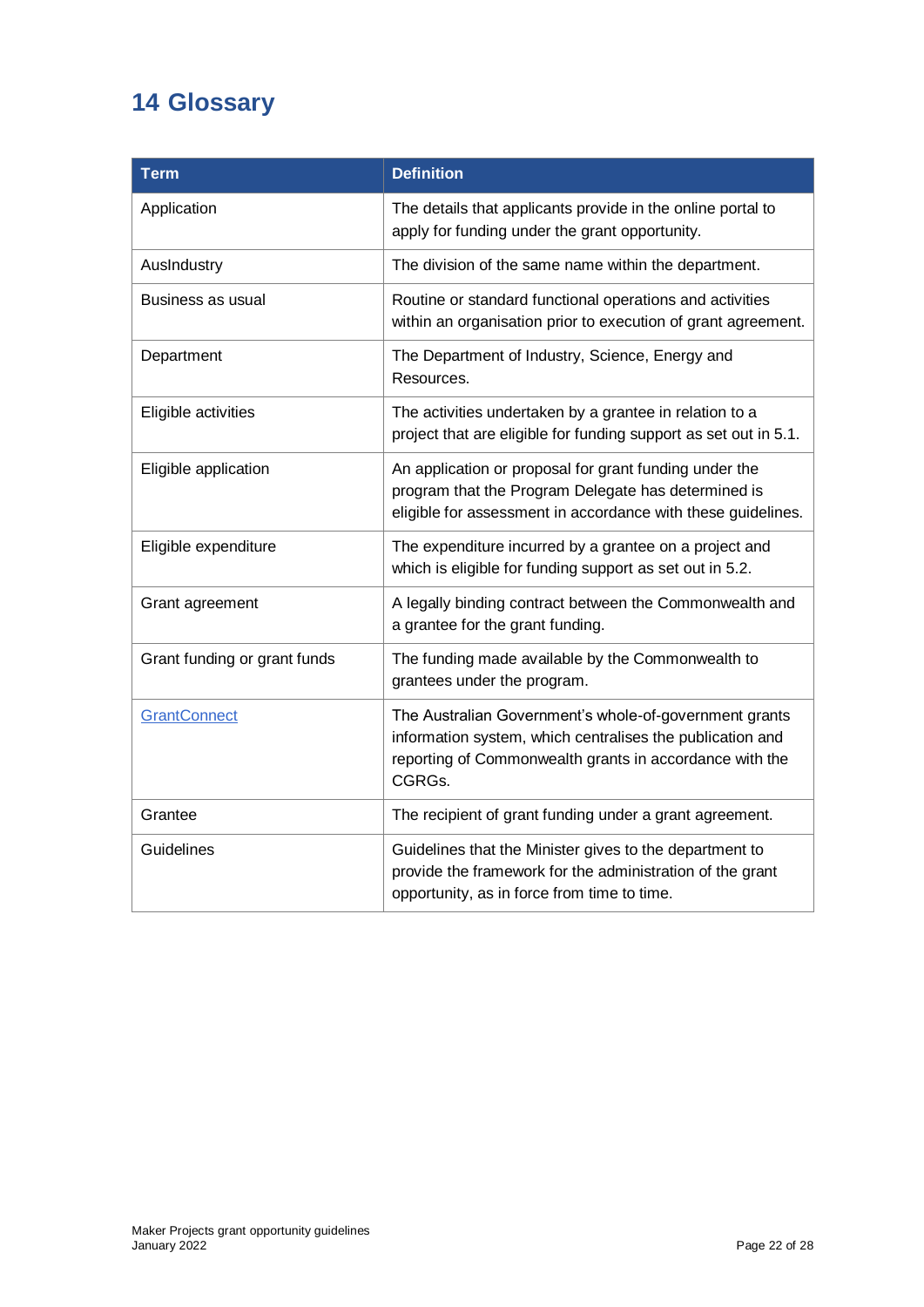# <span id="page-21-0"></span>**14 Glossary**

| <b>Term</b>                  | <b>Definition</b>                                                                                                                                                                        |
|------------------------------|------------------------------------------------------------------------------------------------------------------------------------------------------------------------------------------|
| Application                  | The details that applicants provide in the online portal to<br>apply for funding under the grant opportunity.                                                                            |
| AusIndustry                  | The division of the same name within the department.                                                                                                                                     |
| <b>Business as usual</b>     | Routine or standard functional operations and activities<br>within an organisation prior to execution of grant agreement.                                                                |
| Department                   | The Department of Industry, Science, Energy and<br>Resources.                                                                                                                            |
| Eligible activities          | The activities undertaken by a grantee in relation to a<br>project that are eligible for funding support as set out in 5.1.                                                              |
| Eligible application         | An application or proposal for grant funding under the<br>program that the Program Delegate has determined is<br>eligible for assessment in accordance with these guidelines.            |
| Eligible expenditure         | The expenditure incurred by a grantee on a project and<br>which is eligible for funding support as set out in 5.2.                                                                       |
| Grant agreement              | A legally binding contract between the Commonwealth and<br>a grantee for the grant funding.                                                                                              |
| Grant funding or grant funds | The funding made available by the Commonwealth to<br>grantees under the program.                                                                                                         |
| <b>GrantConnect</b>          | The Australian Government's whole-of-government grants<br>information system, which centralises the publication and<br>reporting of Commonwealth grants in accordance with the<br>CGRGs. |
| Grantee                      | The recipient of grant funding under a grant agreement.                                                                                                                                  |
| Guidelines                   | Guidelines that the Minister gives to the department to<br>provide the framework for the administration of the grant<br>opportunity, as in force from time to time.                      |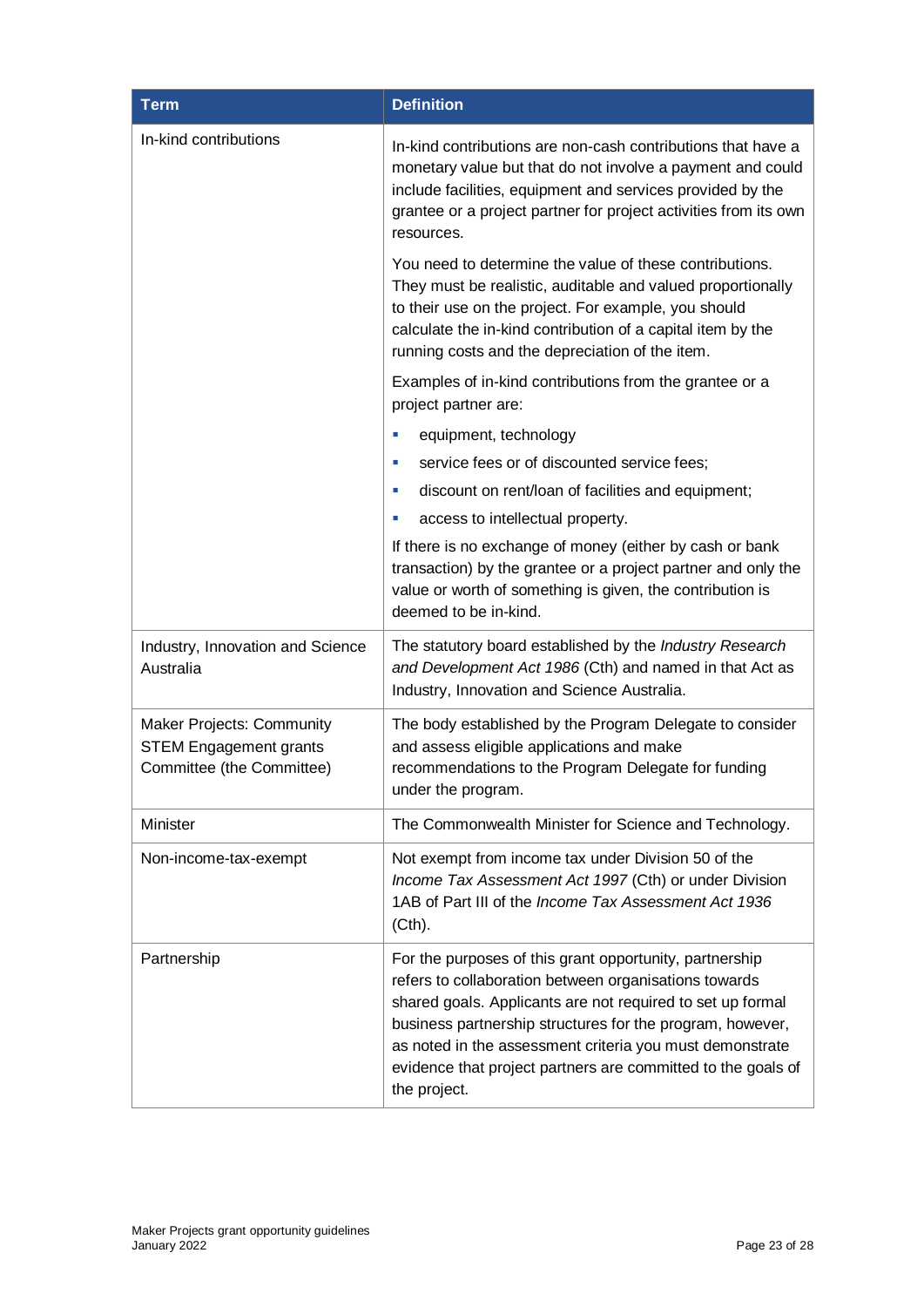| <b>Term</b>                                                                                    | <b>Definition</b>                                                                                                                                                                                                                                                                                                                                                                       |
|------------------------------------------------------------------------------------------------|-----------------------------------------------------------------------------------------------------------------------------------------------------------------------------------------------------------------------------------------------------------------------------------------------------------------------------------------------------------------------------------------|
| In-kind contributions                                                                          | In-kind contributions are non-cash contributions that have a<br>monetary value but that do not involve a payment and could<br>include facilities, equipment and services provided by the<br>grantee or a project partner for project activities from its own<br>resources.                                                                                                              |
|                                                                                                | You need to determine the value of these contributions.<br>They must be realistic, auditable and valued proportionally<br>to their use on the project. For example, you should<br>calculate the in-kind contribution of a capital item by the<br>running costs and the depreciation of the item.                                                                                        |
|                                                                                                | Examples of in-kind contributions from the grantee or a<br>project partner are:                                                                                                                                                                                                                                                                                                         |
|                                                                                                | equipment, technology<br>×                                                                                                                                                                                                                                                                                                                                                              |
|                                                                                                | service fees or of discounted service fees;<br>u.                                                                                                                                                                                                                                                                                                                                       |
|                                                                                                | discount on rent/loan of facilities and equipment;<br>ш                                                                                                                                                                                                                                                                                                                                 |
|                                                                                                | access to intellectual property.<br>ш                                                                                                                                                                                                                                                                                                                                                   |
|                                                                                                | If there is no exchange of money (either by cash or bank<br>transaction) by the grantee or a project partner and only the<br>value or worth of something is given, the contribution is<br>deemed to be in-kind.                                                                                                                                                                         |
| Industry, Innovation and Science<br>Australia                                                  | The statutory board established by the Industry Research<br>and Development Act 1986 (Cth) and named in that Act as<br>Industry, Innovation and Science Australia.                                                                                                                                                                                                                      |
| <b>Maker Projects: Community</b><br><b>STEM Engagement grants</b><br>Committee (the Committee) | The body established by the Program Delegate to consider<br>and assess eligible applications and make<br>recommendations to the Program Delegate for funding<br>under the program.                                                                                                                                                                                                      |
| Minister                                                                                       | The Commonwealth Minister for Science and Technology.                                                                                                                                                                                                                                                                                                                                   |
| Non-income-tax-exempt                                                                          | Not exempt from income tax under Division 50 of the<br>Income Tax Assessment Act 1997 (Cth) or under Division<br>1AB of Part III of the Income Tax Assessment Act 1936<br>(Cth).                                                                                                                                                                                                        |
| Partnership                                                                                    | For the purposes of this grant opportunity, partnership<br>refers to collaboration between organisations towards<br>shared goals. Applicants are not required to set up formal<br>business partnership structures for the program, however,<br>as noted in the assessment criteria you must demonstrate<br>evidence that project partners are committed to the goals of<br>the project. |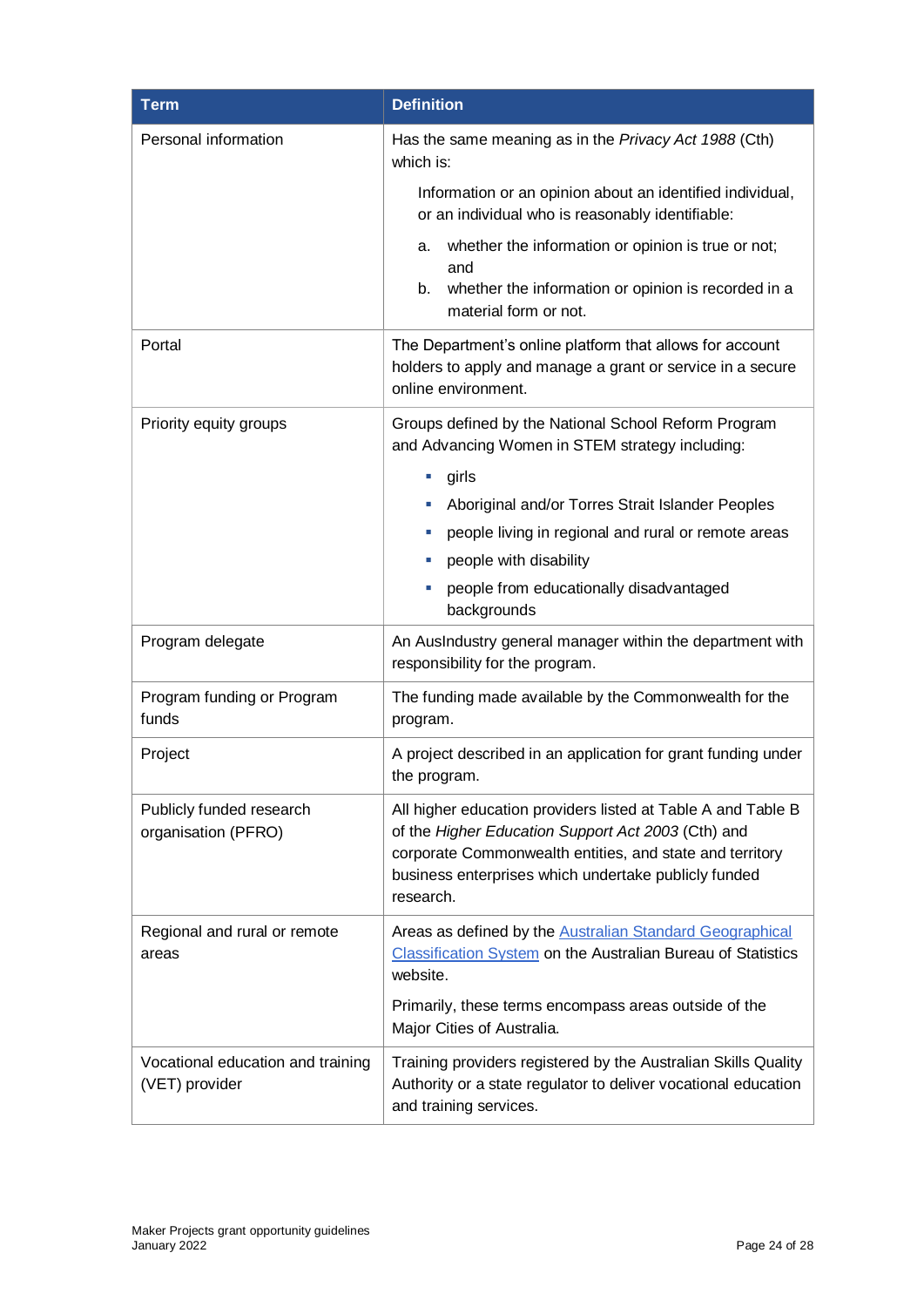| <b>Term</b>                                         | <b>Definition</b>                                                                                                                                                                                                                                   |
|-----------------------------------------------------|-----------------------------------------------------------------------------------------------------------------------------------------------------------------------------------------------------------------------------------------------------|
| Personal information                                | Has the same meaning as in the Privacy Act 1988 (Cth)<br>which is:                                                                                                                                                                                  |
|                                                     | Information or an opinion about an identified individual,<br>or an individual who is reasonably identifiable:                                                                                                                                       |
|                                                     | whether the information or opinion is true or not;<br>а.<br>and<br>whether the information or opinion is recorded in a<br>b.<br>material form or not.                                                                                               |
| Portal                                              | The Department's online platform that allows for account<br>holders to apply and manage a grant or service in a secure<br>online environment.                                                                                                       |
| Priority equity groups                              | Groups defined by the National School Reform Program<br>and Advancing Women in STEM strategy including:                                                                                                                                             |
|                                                     | girls<br>ш                                                                                                                                                                                                                                          |
|                                                     | Aboriginal and/or Torres Strait Islander Peoples                                                                                                                                                                                                    |
|                                                     | people living in regional and rural or remote areas<br>ш                                                                                                                                                                                            |
|                                                     | people with disability                                                                                                                                                                                                                              |
|                                                     | people from educationally disadvantaged<br>ш<br>backgrounds                                                                                                                                                                                         |
| Program delegate                                    | An AusIndustry general manager within the department with<br>responsibility for the program.                                                                                                                                                        |
| Program funding or Program<br>funds                 | The funding made available by the Commonwealth for the<br>program.                                                                                                                                                                                  |
| Project                                             | A project described in an application for grant funding under<br>the program.                                                                                                                                                                       |
| Publicly funded research<br>organisation (PFRO)     | All higher education providers listed at Table A and Table B<br>of the Higher Education Support Act 2003 (Cth) and<br>corporate Commonwealth entities, and state and territory<br>business enterprises which undertake publicly funded<br>research. |
| Regional and rural or remote<br>areas               | Areas as defined by the <b>Australian Standard Geographical</b><br><b>Classification System on the Australian Bureau of Statistics</b><br>website.                                                                                                  |
|                                                     | Primarily, these terms encompass areas outside of the<br>Major Cities of Australia.                                                                                                                                                                 |
| Vocational education and training<br>(VET) provider | Training providers registered by the Australian Skills Quality<br>Authority or a state regulator to deliver vocational education<br>and training services.                                                                                          |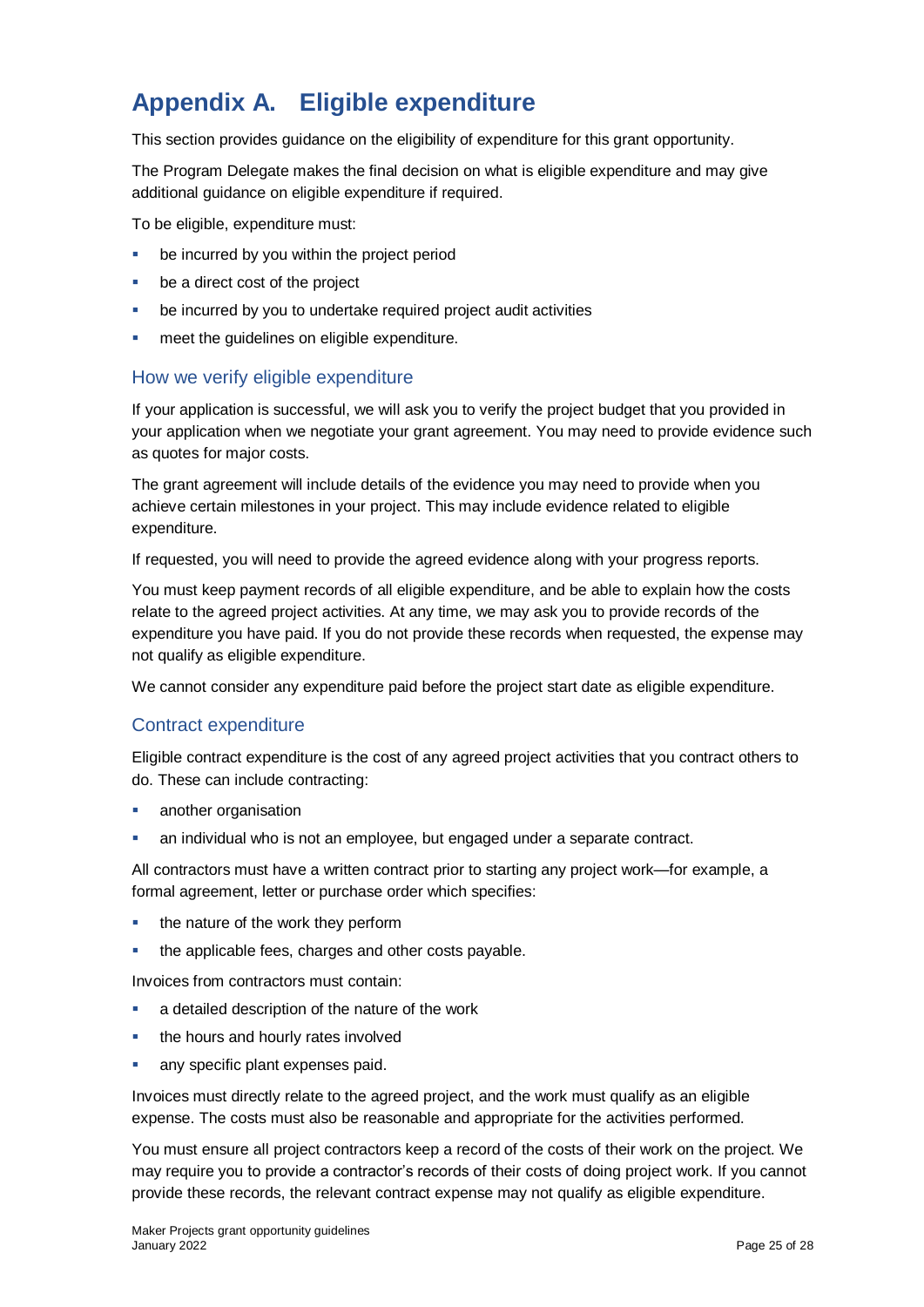# <span id="page-24-0"></span>**Appendix A. Eligible expenditure**

This section provides guidance on the eligibility of expenditure for this grant opportunity.

The Program Delegate makes the final decision on what is eligible expenditure and may give additional guidance on eligible expenditure if required.

To be eligible, expenditure must:

- be incurred by you within the project period
- be a direct cost of the project
- **•** be incurred by you to undertake required project audit activities
- meet the guidelines on eligible expenditure.

#### <span id="page-24-1"></span>How we verify eligible expenditure

If your application is successful, we will ask you to verify the project budget that you provided in your application when we negotiate your grant agreement. You may need to provide evidence such as quotes for major costs.

The grant agreement will include details of the evidence you may need to provide when you achieve certain milestones in your project. This may include evidence related to eligible expenditure.

If requested, you will need to provide the agreed evidence along with your progress reports.

You must keep payment records of all eligible expenditure, and be able to explain how the costs relate to the agreed project activities. At any time, we may ask you to provide records of the expenditure you have paid. If you do not provide these records when requested, the expense may not qualify as eligible expenditure.

We cannot consider any expenditure paid before the project start date as eligible expenditure.

#### <span id="page-24-2"></span>Contract expenditure

Eligible contract expenditure is the cost of any agreed project activities that you contract others to do. These can include contracting:

- another organisation
- an individual who is not an employee, but engaged under a separate contract.

All contractors must have a written contract prior to starting any project work—for example, a formal agreement, letter or purchase order which specifies:

- $\blacksquare$  the nature of the work they perform
- the applicable fees, charges and other costs payable.

Invoices from contractors must contain:

- **a** a detailed description of the nature of the work
- the hours and hourly rates involved
- any specific plant expenses paid.

Invoices must directly relate to the agreed project, and the work must qualify as an eligible expense. The costs must also be reasonable and appropriate for the activities performed.

You must ensure all project contractors keep a record of the costs of their work on the project. We may require you to provide a contractor's records of their costs of doing project work. If you cannot provide these records, the relevant contract expense may not qualify as eligible expenditure.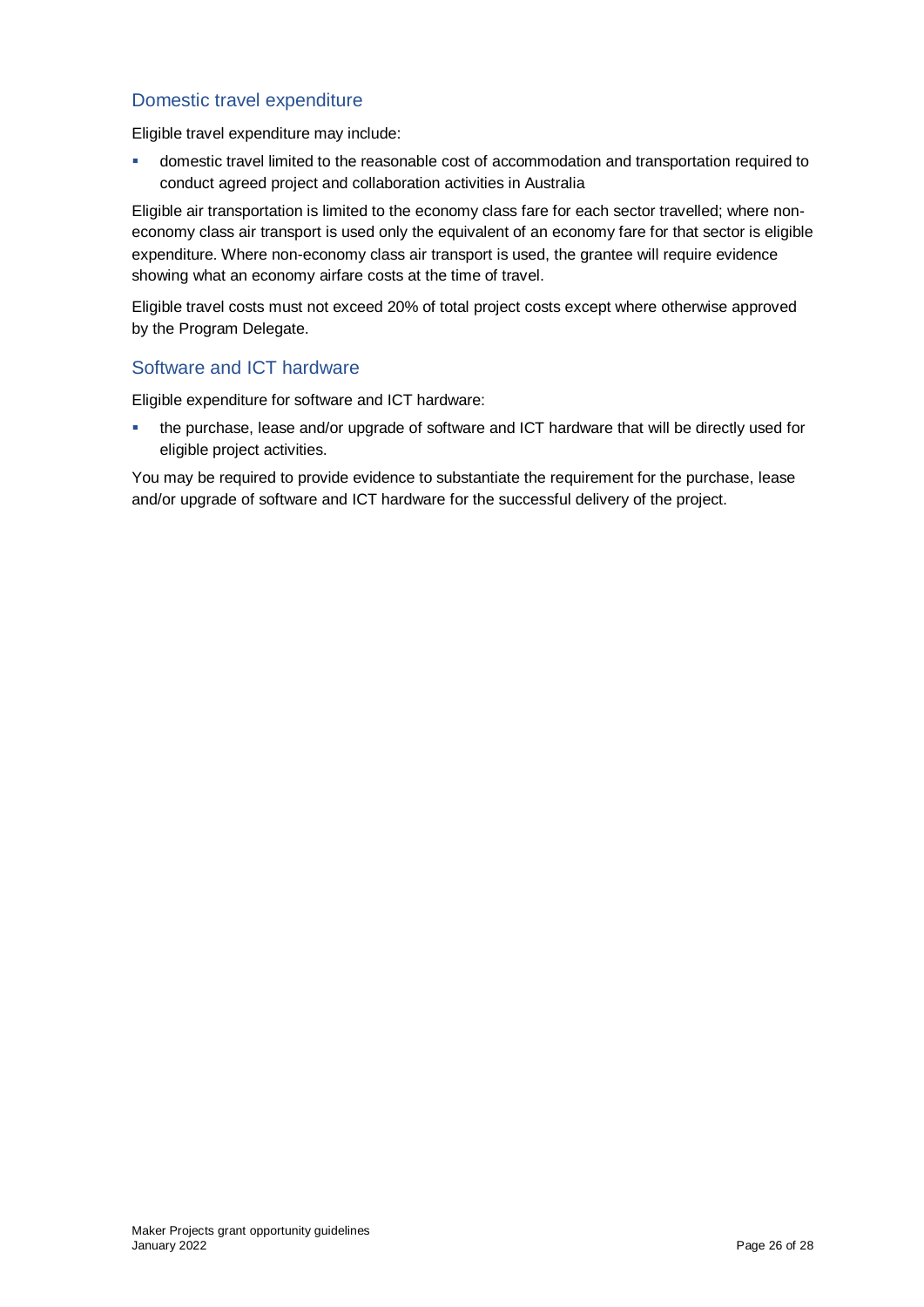### <span id="page-25-0"></span>Domestic travel expenditure

Eligible travel expenditure may include:

**COMET 1** domestic travel limited to the reasonable cost of accommodation and transportation required to conduct agreed project and collaboration activities in Australia

Eligible air transportation is limited to the economy class fare for each sector travelled; where noneconomy class air transport is used only the equivalent of an economy fare for that sector is eligible expenditure. Where non-economy class air transport is used, the grantee will require evidence showing what an economy airfare costs at the time of travel.

Eligible travel costs must not exceed 20% of total project costs except where otherwise approved by the Program Delegate.

#### <span id="page-25-1"></span>Software and ICT hardware

Eligible expenditure for software and ICT hardware:

 the purchase, lease and/or upgrade of software and ICT hardware that will be directly used for eligible project activities.

You may be required to provide evidence to substantiate the requirement for the purchase, lease and/or upgrade of software and ICT hardware for the successful delivery of the project.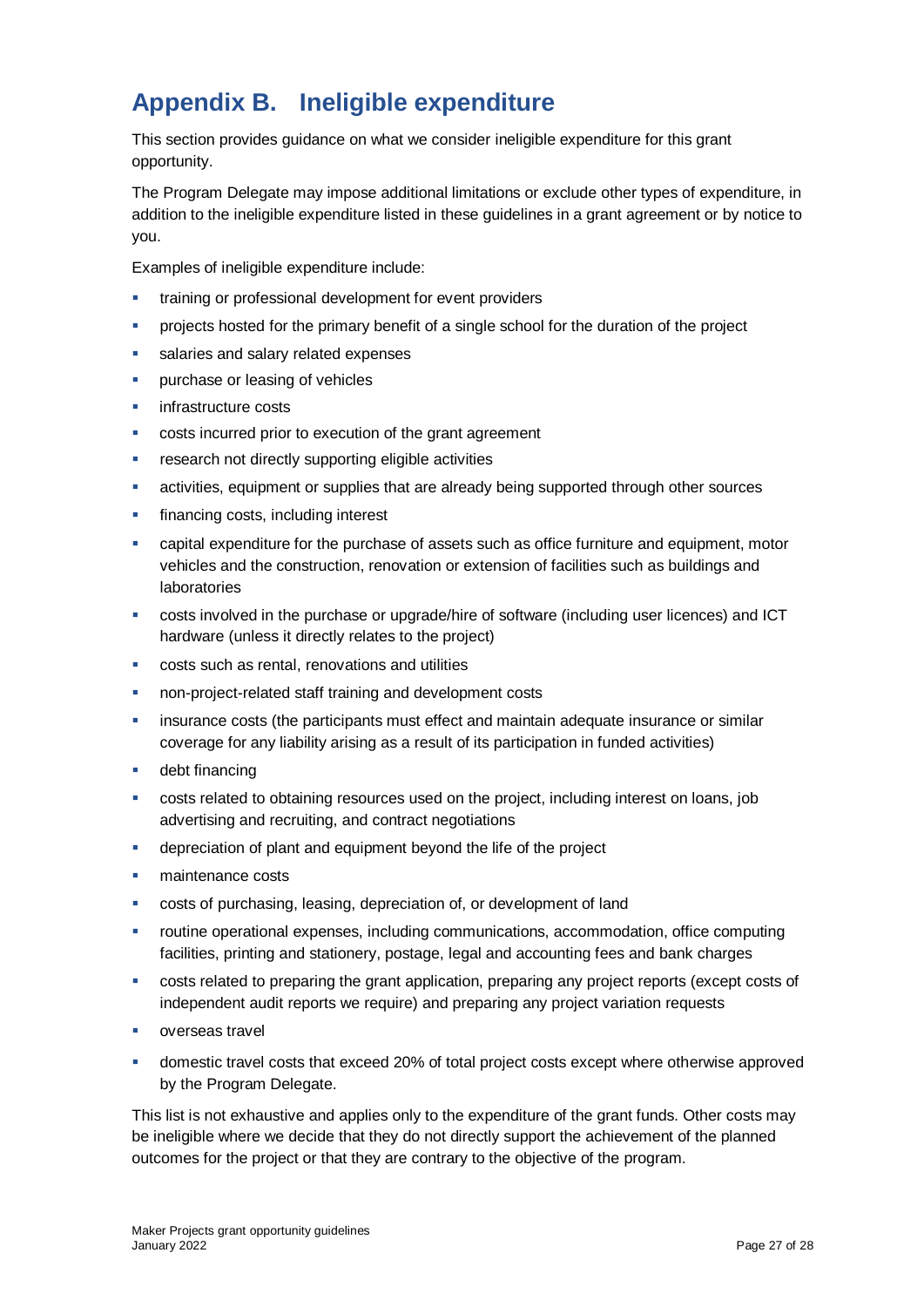# <span id="page-26-0"></span>**Appendix B. Ineligible expenditure**

This section provides guidance on what we consider ineligible expenditure for this grant opportunity.

The Program Delegate may impose additional limitations or exclude other types of expenditure, in addition to the ineligible expenditure listed in these guidelines in a grant agreement or by notice to you.

Examples of ineligible expenditure include:

- training or professional development for event providers
- projects hosted for the primary benefit of a single school for the duration of the project
- salaries and salary related expenses
- purchase or leasing of vehicles
- **infrastructure costs**
- costs incurred prior to execution of the grant agreement
- **F** research not directly supporting eligible activities
- activities, equipment or supplies that are already being supported through other sources
- financing costs, including interest
- capital expenditure for the purchase of assets such as office furniture and equipment, motor vehicles and the construction, renovation or extension of facilities such as buildings and laboratories
- costs involved in the purchase or upgrade/hire of software (including user licences) and ICT hardware (unless it directly relates to the project)
- costs such as rental, renovations and utilities
- non-project-related staff training and development costs
- **EXEDENT** insurance costs (the participants must effect and maintain adequate insurance or similar coverage for any liability arising as a result of its participation in funded activities)
- debt financing
- costs related to obtaining resources used on the project, including interest on loans, job advertising and recruiting, and contract negotiations
- depreciation of plant and equipment beyond the life of the project
- **maintenance costs**
- costs of purchasing, leasing, depreciation of, or development of land
- routine operational expenses, including communications, accommodation, office computing facilities, printing and stationery, postage, legal and accounting fees and bank charges
- costs related to preparing the grant application, preparing any project reports (except costs of independent audit reports we require) and preparing any project variation requests
- **•** overseas travel
- domestic travel costs that exceed 20% of total project costs except where otherwise approved by the Program Delegate.

This list is not exhaustive and applies only to the expenditure of the grant funds. Other costs may be ineligible where we decide that they do not directly support the achievement of the planned outcomes for the project or that they are contrary to the objective of the program.